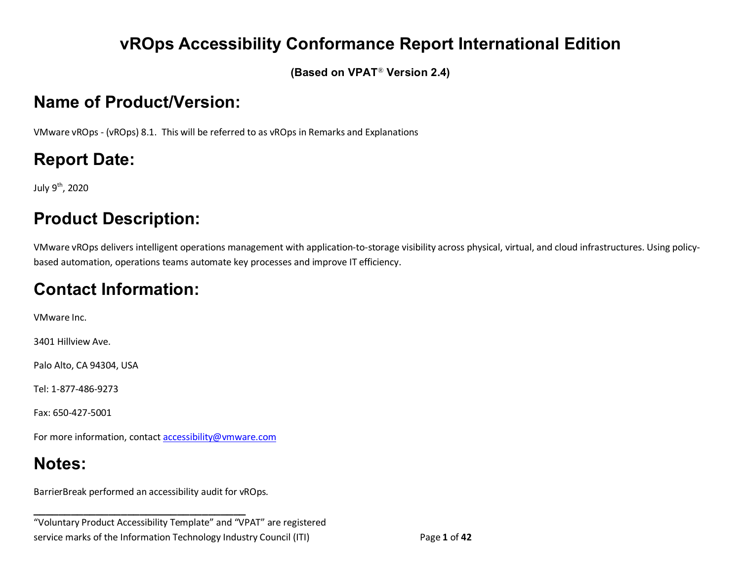## **vROps Accessibility Conformance Report International Edition**

**(Based on VPAT**® **Version 2.4)**

# **Name of Product/Version:**

VMware vROps - (vROps) 8.1. This will be referred to as vROps in Remarks and Explanations

# **Report Date:**

July 9th, 2020

# **Product Description:**

VMware vROps delivers intelligent operations management with application-to-storage visibility across physical, virtual, and cloud infrastructures. Using policybased automation, operations teams automate key processes and improve IT efficiency.

# **Contact Information:**

VMware Inc.

3401 Hillview Ave.

Palo Alto, CA 94304, USA

Tel: 1-877-486-9273

Fax: 650-427-5001

For more information, contact [accessibility@vmware.com](mailto:accessibility@vmware.com)

# **Notes:**

BarrierBreak performed an accessibility audit for vROps.

**\_\_\_\_\_\_\_\_\_\_\_\_\_\_\_\_\_\_\_\_\_\_\_\_\_\_\_\_\_\_\_\_\_\_**

"Voluntary Product Accessibility Template" and "VPAT" are registered service marks of the Information Technology Industry Council (ITI) Page **1** of **42**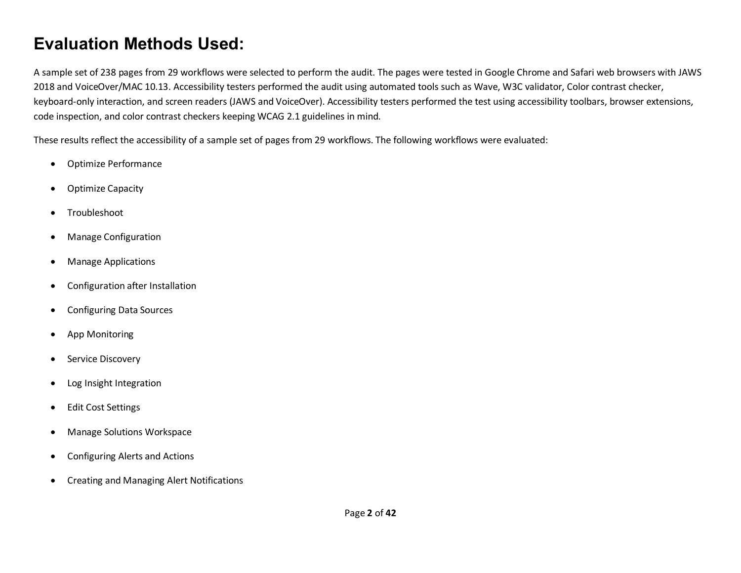### **Evaluation Methods Used:**

A sample set of 238 pages from 29 workflows were selected to perform the audit. The pages were tested in Google Chrome and Safari web browsers with JAWS 2018 and VoiceOver/MAC 10.13. Accessibility testers performed the audit using automated tools such as Wave, W3C validator, Color contrast checker, keyboard-only interaction, and screen readers (JAWS and VoiceOver). Accessibility testers performed the test using accessibility toolbars, browser extensions, code inspection, and color contrast checkers keeping WCAG 2.1 guidelines in mind.

These results reflect the accessibility of a sample set of pages from 29 workflows. The following workflows were evaluated:

- Optimize Performance
- Optimize Capacity
- Troubleshoot
- Manage Configuration
- Manage Applications
- Configuration after Installation
- Configuring Data Sources
- App Monitoring
- Service Discovery
- Log Insight Integration
- Edit Cost Settings
- Manage Solutions Workspace
- Configuring Alerts and Actions
- Creating and Managing Alert Notifications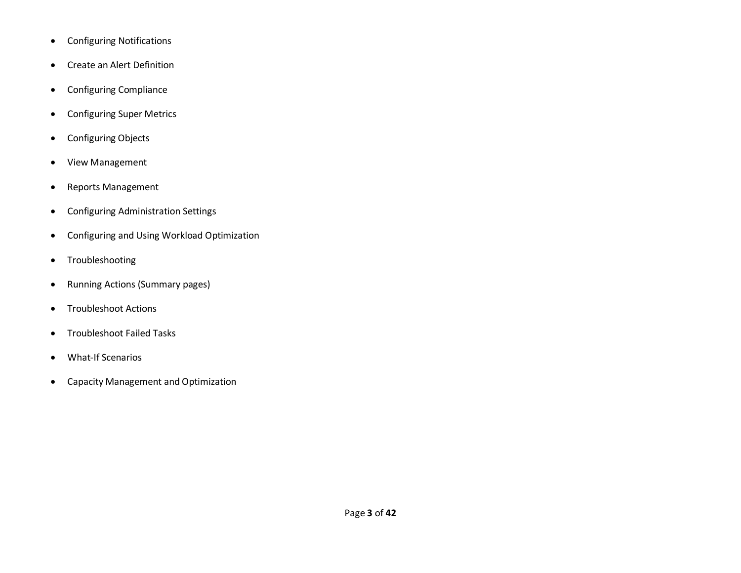- Configuring Notifications
- Create an Alert Definition
- Configuring Compliance
- Configuring Super Metrics
- Configuring Objects
- View Management
- Reports Management
- Configuring Administration Settings
- Configuring and Using Workload Optimization
- Troubleshooting
- Running Actions (Summary pages)
- Troubleshoot Actions
- Troubleshoot Failed Tasks
- What-If Scenarios
- Capacity Management and Optimization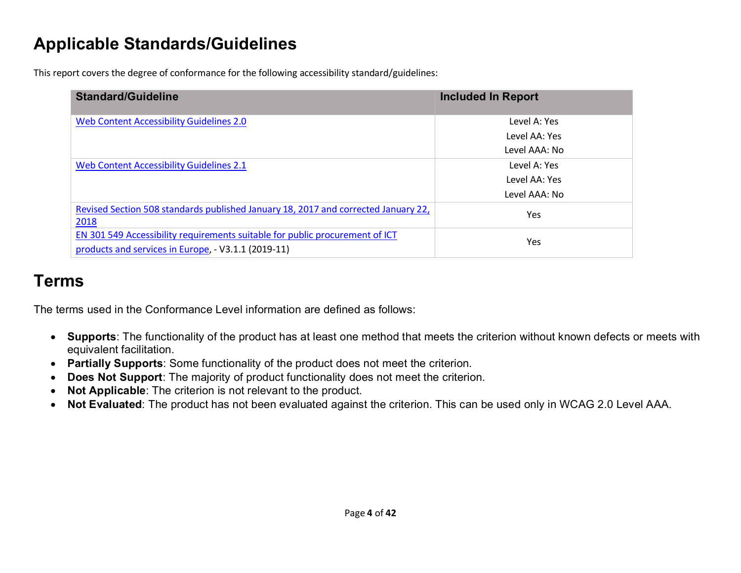## **Applicable Standards/Guidelines**

This report covers the degree of conformance for the following accessibility standard/guidelines:

| <b>Standard/Guideline</b>                                                          | <b>Included In Report</b> |
|------------------------------------------------------------------------------------|---------------------------|
| Web Content Accessibility Guidelines 2.0                                           | Level A: Yes              |
|                                                                                    | Level AA: Yes             |
|                                                                                    | Level AAA: No             |
| Web Content Accessibility Guidelines 2.1                                           | Level A: Yes              |
|                                                                                    | Level AA: Yes             |
|                                                                                    | Level AAA: No             |
| Revised Section 508 standards published January 18, 2017 and corrected January 22, | Yes                       |
| 2018                                                                               |                           |
| EN 301 549 Accessibility requirements suitable for public procurement of ICT       | Yes                       |
| products and services in Europe, - V3.1.1 (2019-11)                                |                           |

### **Terms**

The terms used in the Conformance Level information are defined as follows:

- **Supports**: The functionality of the product has at least one method that meets the criterion without known defects or meets with equivalent facilitation.
- **Partially Supports**: Some functionality of the product does not meet the criterion.
- **Does Not Support**: The majority of product functionality does not meet the criterion.
- **Not Applicable**: The criterion is not relevant to the product.
- <span id="page-3-0"></span>• **Not Evaluated**: The product has not been evaluated against the criterion. This can be used only in WCAG 2.0 Level AAA.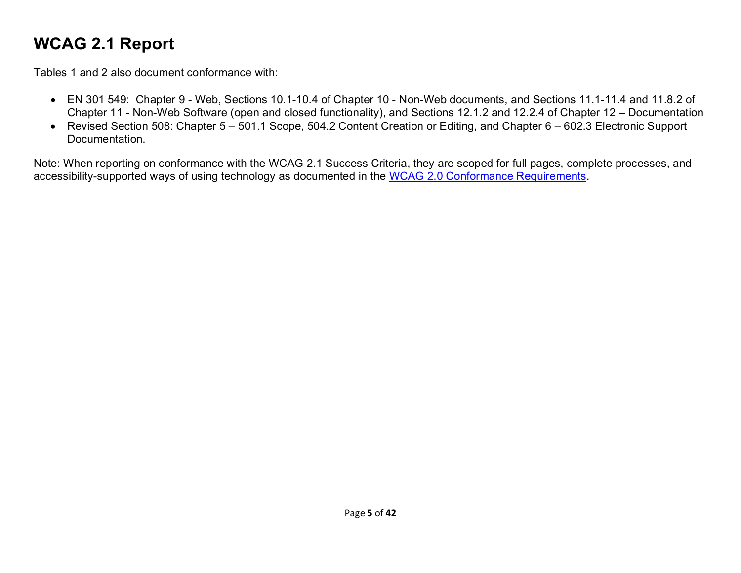## **WCAG 2.1 Report**

Tables 1 and 2 also document conformance with:

- EN 301 549: Chapter 9 Web, Sections 10.1-10.4 of Chapter 10 Non-Web documents, and Sections 11.1-11.4 and 11.8.2 of Chapter 11 - Non-Web Software (open and closed functionality), and Sections 12.1.2 and 12.2.4 of Chapter 12 – Documentation
- Revised Section 508: Chapter 5 501.1 Scope, 504.2 Content Creation or Editing, and Chapter 6 602.3 Electronic Support Documentation.

Note: When reporting on conformance with the WCAG 2.1 Success Criteria, they are scoped for full pages, complete processes, and accessibility-supported ways of using technology as documented in the [WCAG 2.0 Conformance Requirements.](https://www.w3.org/TR/WCAG20/#conformance-reqs)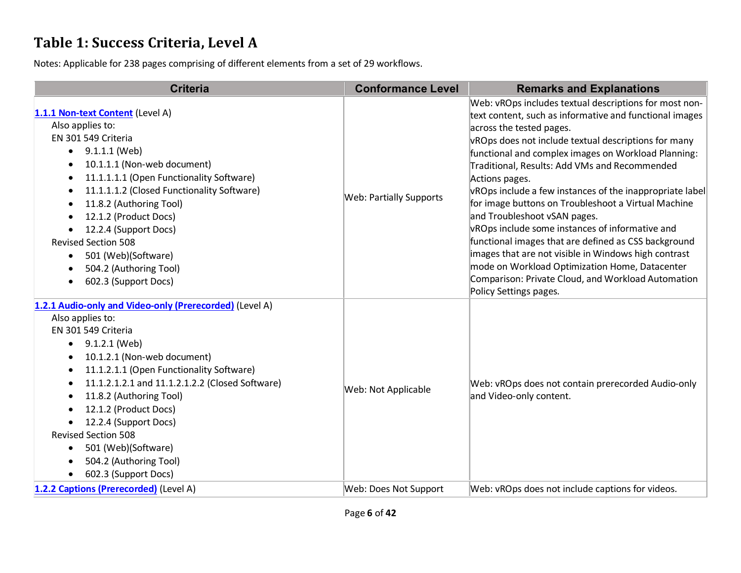### **Table 1: Success Criteria, Level A**

| <b>Criteria</b>                                                                                                                                                                                                                                                                                                                                                                                                                                                              | <b>Conformance Level</b> | <b>Remarks and Explanations</b>                                                                                                                                                                                                                                                                                                                                                                                                                                                                                                                                                                                                                                                                                                                                                         |
|------------------------------------------------------------------------------------------------------------------------------------------------------------------------------------------------------------------------------------------------------------------------------------------------------------------------------------------------------------------------------------------------------------------------------------------------------------------------------|--------------------------|-----------------------------------------------------------------------------------------------------------------------------------------------------------------------------------------------------------------------------------------------------------------------------------------------------------------------------------------------------------------------------------------------------------------------------------------------------------------------------------------------------------------------------------------------------------------------------------------------------------------------------------------------------------------------------------------------------------------------------------------------------------------------------------------|
| 1.1.1 Non-text Content (Level A)<br>Also applies to:<br>EN 301 549 Criteria<br>9.1.1.1 (Web)<br>10.1.1.1 (Non-web document)<br>11.1.1.1.1 (Open Functionality Software)<br>11.1.1.1.2 (Closed Functionality Software)<br>11.8.2 (Authoring Tool)<br>12.1.2 (Product Docs)<br>12.2.4 (Support Docs)<br><b>Revised Section 508</b><br>501 (Web)(Software)<br>$\bullet$<br>504.2 (Authoring Tool)<br>602.3 (Support Docs)                                                       | Web: Partially Supports  | Web: vROps includes textual descriptions for most non-<br>text content, such as informative and functional images<br>across the tested pages.<br>vROps does not include textual descriptions for many<br>functional and complex images on Workload Planning:<br>Traditional, Results: Add VMs and Recommended<br>Actions pages.<br>vROps include a few instances of the inappropriate label<br>for image buttons on Troubleshoot a Virtual Machine<br>and Troubleshoot vSAN pages.<br>vROps include some instances of informative and<br>functional images that are defined as CSS background<br>images that are not visible in Windows high contrast<br>mode on Workload Optimization Home, Datacenter<br>Comparison: Private Cloud, and Workload Automation<br>Policy Settings pages. |
| 1.2.1 Audio-only and Video-only (Prerecorded) (Level A)<br>Also applies to:<br>EN 301 549 Criteria<br>9.1.2.1 (Web)<br>$\bullet$<br>10.1.2.1 (Non-web document)<br>11.1.2.1.1 (Open Functionality Software)<br>11.1.2.1.2.1 and 11.1.2.1.2.2 (Closed Software)<br>$\bullet$<br>11.8.2 (Authoring Tool)<br>12.1.2 (Product Docs)<br>12.2.4 (Support Docs)<br>$\bullet$<br><b>Revised Section 508</b><br>501 (Web)(Software)<br>504.2 (Authoring Tool)<br>602.3 (Support Docs) | Web: Not Applicable      | Web: vROps does not contain prerecorded Audio-only<br>and Video-only content.                                                                                                                                                                                                                                                                                                                                                                                                                                                                                                                                                                                                                                                                                                           |
| 1.2.2 Captions (Prerecorded) (Level A)                                                                                                                                                                                                                                                                                                                                                                                                                                       | Web: Does Not Support    | Web: vROps does not include captions for videos.                                                                                                                                                                                                                                                                                                                                                                                                                                                                                                                                                                                                                                                                                                                                        |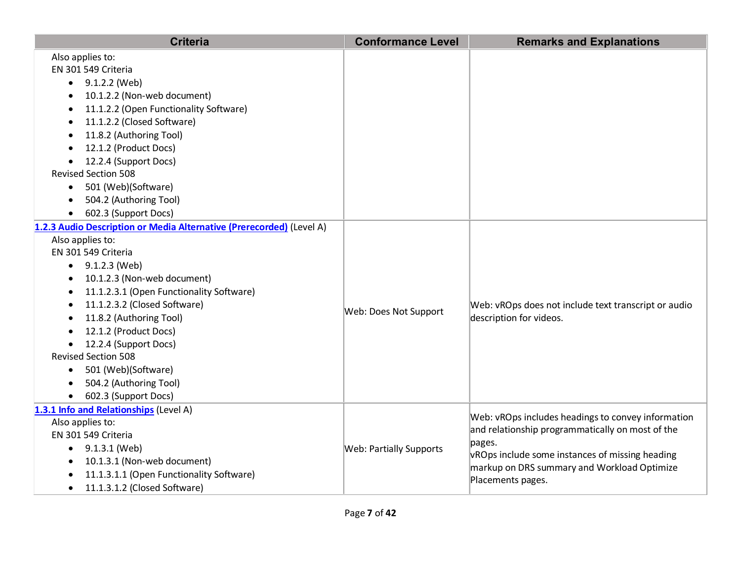| <b>Criteria</b>                                                                                                                                                                                                                                                                                                                                                                                                                                          | <b>Conformance Level</b>       | <b>Remarks and Explanations</b>                                                                                                                                                                                                         |
|----------------------------------------------------------------------------------------------------------------------------------------------------------------------------------------------------------------------------------------------------------------------------------------------------------------------------------------------------------------------------------------------------------------------------------------------------------|--------------------------------|-----------------------------------------------------------------------------------------------------------------------------------------------------------------------------------------------------------------------------------------|
| Also applies to:<br>EN 301 549 Criteria<br>$\bullet$ 9.1.2.2 (Web)<br>10.1.2.2 (Non-web document)<br>11.1.2.2 (Open Functionality Software)<br>11.1.2.2 (Closed Software)<br>$\bullet$<br>11.8.2 (Authoring Tool)<br>12.1.2 (Product Docs)<br>12.2.4 (Support Docs)<br><b>Revised Section 508</b><br>501 (Web)(Software)<br>504.2 (Authoring Tool)<br>602.3 (Support Docs)<br>$\bullet$                                                                  |                                |                                                                                                                                                                                                                                         |
| 1.2.3 Audio Description or Media Alternative (Prerecorded) (Level A)<br>Also applies to:<br>EN 301 549 Criteria<br>$\bullet$ 9.1.2.3 (Web)<br>10.1.2.3 (Non-web document)<br>11.1.2.3.1 (Open Functionality Software)<br>11.1.2.3.2 (Closed Software)<br>11.8.2 (Authoring Tool)<br>12.1.2 (Product Docs)<br>12.2.4 (Support Docs)<br>$\bullet$<br><b>Revised Section 508</b><br>• 501 (Web)(Software)<br>504.2 (Authoring Tool)<br>602.3 (Support Docs) | Web: Does Not Support          | Web: vROps does not include text transcript or audio<br>description for videos.                                                                                                                                                         |
| 1.3.1 Info and Relationships (Level A)<br>Also applies to:<br>EN 301 549 Criteria<br>$\bullet$ 9.1.3.1 (Web)<br>10.1.3.1 (Non-web document)<br>$\bullet$<br>11.1.3.1.1 (Open Functionality Software)<br>11.1.3.1.2 (Closed Software)                                                                                                                                                                                                                     | <b>Web: Partially Supports</b> | Web: vROps includes headings to convey information<br>and relationship programmatically on most of the<br>pages.<br>vROps include some instances of missing heading<br>markup on DRS summary and Workload Optimize<br>Placements pages. |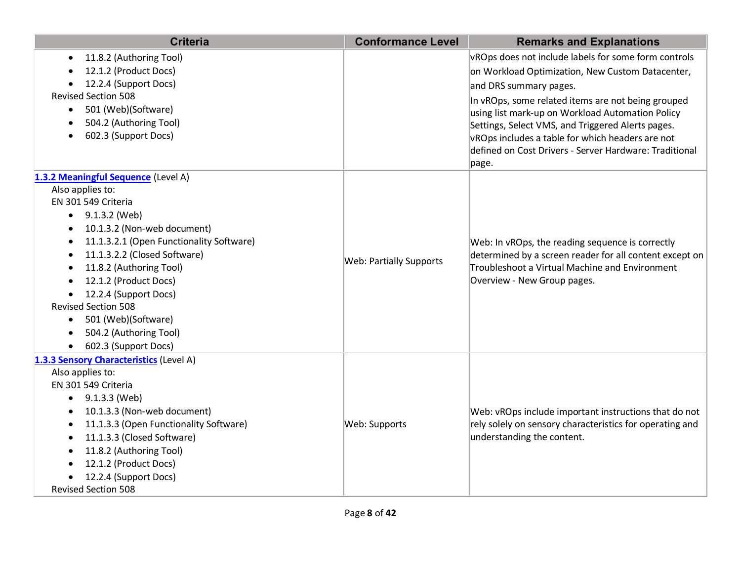| <b>Criteria</b>                                  | <b>Conformance Level</b>       | <b>Remarks and Explanations</b>                                                                                                                                                              |
|--------------------------------------------------|--------------------------------|----------------------------------------------------------------------------------------------------------------------------------------------------------------------------------------------|
| 11.8.2 (Authoring Tool)                          |                                | vROps does not include labels for some form controls                                                                                                                                         |
| 12.1.2 (Product Docs)                            |                                | on Workload Optimization, New Custom Datacenter,                                                                                                                                             |
| 12.2.4 (Support Docs)                            |                                | and DRS summary pages.                                                                                                                                                                       |
| <b>Revised Section 508</b>                       |                                | In vROps, some related items are not being grouped                                                                                                                                           |
| 501 (Web)(Software)<br>$\bullet$                 |                                | using list mark-up on Workload Automation Policy                                                                                                                                             |
| 504.2 (Authoring Tool)                           |                                | Settings, Select VMS, and Triggered Alerts pages.                                                                                                                                            |
| 602.3 (Support Docs)                             |                                | vROps includes a table for which headers are not                                                                                                                                             |
|                                                  |                                | defined on Cost Drivers - Server Hardware: Traditional                                                                                                                                       |
|                                                  |                                | page.                                                                                                                                                                                        |
| 1.3.2 Meaningful Sequence (Level A)              |                                |                                                                                                                                                                                              |
| Also applies to:                                 |                                |                                                                                                                                                                                              |
| EN 301 549 Criteria                              |                                |                                                                                                                                                                                              |
| 9.1.3.2 (Web)<br>$\bullet$                       |                                |                                                                                                                                                                                              |
| 10.1.3.2 (Non-web document)<br>$\bullet$         |                                |                                                                                                                                                                                              |
| 11.1.3.2.1 (Open Functionality Software)         |                                | Web: In vROps, the reading sequence is correctly<br>determined by a screen reader for all content except on<br>Troubleshoot a Virtual Machine and Environment<br>Overview - New Group pages. |
| 11.1.3.2.2 (Closed Software)                     | <b>Web: Partially Supports</b> |                                                                                                                                                                                              |
| 11.8.2 (Authoring Tool)<br>12.1.2 (Product Docs) |                                |                                                                                                                                                                                              |
| 12.2.4 (Support Docs)                            |                                |                                                                                                                                                                                              |
| <b>Revised Section 508</b>                       |                                |                                                                                                                                                                                              |
| 501 (Web)(Software)<br>$\bullet$                 |                                |                                                                                                                                                                                              |
| 504.2 (Authoring Tool)                           |                                |                                                                                                                                                                                              |
| 602.3 (Support Docs)                             |                                |                                                                                                                                                                                              |
| 1.3.3 Sensory Characteristics (Level A)          |                                |                                                                                                                                                                                              |
| Also applies to:                                 |                                |                                                                                                                                                                                              |
| EN 301 549 Criteria                              |                                |                                                                                                                                                                                              |
| 9.1.3.3 (Web)                                    |                                |                                                                                                                                                                                              |
| 10.1.3.3 (Non-web document)                      |                                | Web: vROps include important instructions that do not                                                                                                                                        |
| 11.1.3.3 (Open Functionality Software)           | Web: Supports                  | rely solely on sensory characteristics for operating and                                                                                                                                     |
| 11.1.3.3 (Closed Software)                       |                                | understanding the content.                                                                                                                                                                   |
| 11.8.2 (Authoring Tool)                          |                                |                                                                                                                                                                                              |
| 12.1.2 (Product Docs)                            |                                |                                                                                                                                                                                              |
| 12.2.4 (Support Docs)                            |                                |                                                                                                                                                                                              |
| <b>Revised Section 508</b>                       |                                |                                                                                                                                                                                              |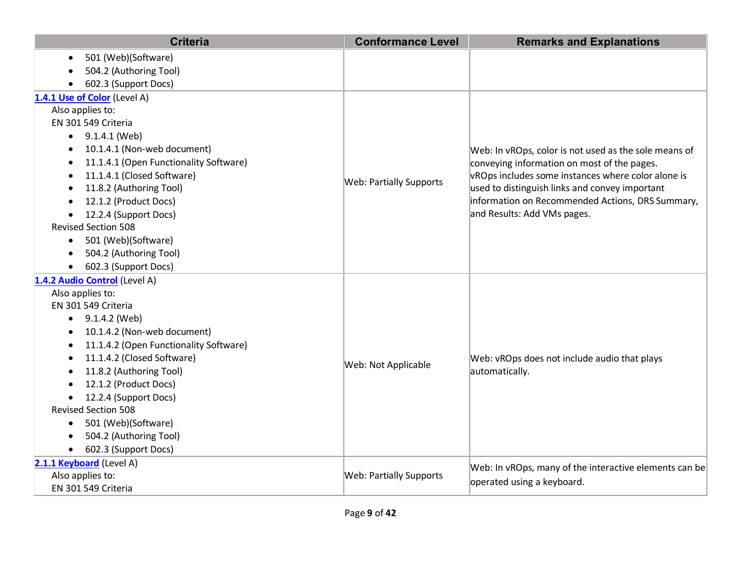| <b>Criteria</b>                                | <b>Conformance Level</b>       | <b>Remarks and Explanations</b>                                |
|------------------------------------------------|--------------------------------|----------------------------------------------------------------|
| 501 (Web)(Software)                            |                                |                                                                |
| 504.2 (Authoring Tool)                         |                                |                                                                |
| 602.3 (Support Docs)                           |                                |                                                                |
| 1.4.1 Use of Color (Level A)                   |                                |                                                                |
| Also applies to:                               |                                |                                                                |
| EN 301 549 Criteria                            |                                | Web: In vROps, color is not used as the sole means of          |
| $\bullet$ 9.1.4.1 (Web)                        |                                |                                                                |
| 10.1.4.1 (Non-web document)                    |                                |                                                                |
| 11.1.4.1 (Open Functionality Software)         |                                | conveying information on most of the pages.                    |
| 11.1.4.1 (Closed Software)                     | <b>Web: Partially Supports</b> | vROps includes some instances where color alone is             |
| 11.8.2 (Authoring Tool)                        |                                | used to distinguish links and convey important                 |
| 12.1.2 (Product Docs)                          |                                | information on Recommended Actions, DRS Summary,               |
| 12.2.4 (Support Docs)                          |                                | and Results: Add VMs pages.                                    |
| <b>Revised Section 508</b>                     |                                |                                                                |
| 501 (Web)(Software)<br>$\bullet$               |                                |                                                                |
| 504.2 (Authoring Tool)                         |                                |                                                                |
| 602.3 (Support Docs)                           |                                |                                                                |
| 1.4.2 Audio Control (Level A)                  |                                |                                                                |
| Also applies to:                               |                                | Web: vROps does not include audio that plays<br>automatically. |
| EN 301 549 Criteria                            |                                |                                                                |
| 9.1.4.2 (Web)<br>$\bullet$                     |                                |                                                                |
| 10.1.4.2 (Non-web document)                    |                                |                                                                |
| 11.1.4.2 (Open Functionality Software)         |                                |                                                                |
| 11.1.4.2 (Closed Software)                     | Web: Not Applicable            |                                                                |
| 11.8.2 (Authoring Tool)                        |                                |                                                                |
| 12.1.2 (Product Docs)<br>12.2.4 (Support Docs) |                                |                                                                |
| <b>Revised Section 508</b>                     |                                |                                                                |
| 501 (Web)(Software)<br>$\bullet$               |                                |                                                                |
| 504.2 (Authoring Tool)                         |                                |                                                                |
| 602.3 (Support Docs)                           |                                |                                                                |
| 2.1.1 Keyboard (Level A)                       |                                |                                                                |
| Also applies to:                               | <b>Web: Partially Supports</b> | Web: In vROps, many of the interactive elements can be         |
| EN 301 549 Criteria                            |                                | operated using a keyboard.                                     |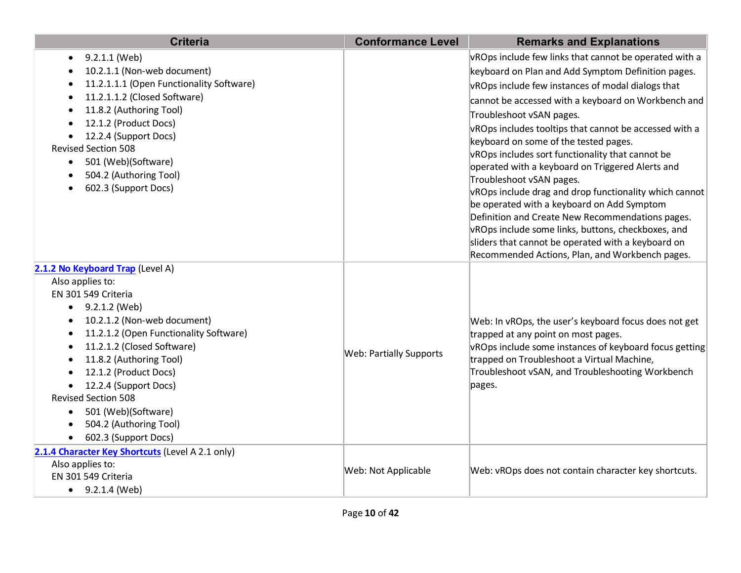| <b>Criteria</b>                                            | <b>Conformance Level</b>       | <b>Remarks and Explanations</b>                                                                        |
|------------------------------------------------------------|--------------------------------|--------------------------------------------------------------------------------------------------------|
| 9.2.1.1 (Web)<br>$\bullet$                                 |                                | vROps include few links that cannot be operated with a                                                 |
| 10.2.1.1 (Non-web document)                                |                                | keyboard on Plan and Add Symptom Definition pages.                                                     |
| 11.2.1.1.1 (Open Functionality Software)                   |                                | vROps include few instances of modal dialogs that                                                      |
| 11.2.1.1.2 (Closed Software)                               |                                | cannot be accessed with a keyboard on Workbench and                                                    |
| 11.8.2 (Authoring Tool)<br>$\bullet$                       |                                | Troubleshoot vSAN pages.                                                                               |
| 12.1.2 (Product Docs)                                      |                                | vROps includes tooltips that cannot be accessed with a                                                 |
| 12.2.4 (Support Docs)                                      |                                | keyboard on some of the tested pages.                                                                  |
| <b>Revised Section 508</b>                                 |                                | vROps includes sort functionality that cannot be                                                       |
| 501 (Web)(Software)<br>$\bullet$<br>504.2 (Authoring Tool) |                                | operated with a keyboard on Triggered Alerts and                                                       |
| 602.3 (Support Docs)                                       |                                | Troubleshoot vSAN pages.                                                                               |
|                                                            |                                | vROps include drag and drop functionality which cannot                                                 |
|                                                            |                                | be operated with a keyboard on Add Symptom                                                             |
|                                                            |                                | Definition and Create New Recommendations pages.<br>vROps include some links, buttons, checkboxes, and |
|                                                            |                                | sliders that cannot be operated with a keyboard on                                                     |
|                                                            |                                | Recommended Actions, Plan, and Workbench pages.                                                        |
| 2.1.2 No Keyboard Trap (Level A)                           |                                |                                                                                                        |
| Also applies to:                                           |                                |                                                                                                        |
| EN 301 549 Criteria                                        |                                |                                                                                                        |
| 9.2.1.2 (Web)<br>$\bullet$                                 |                                | Web: In vROps, the user's keyboard focus does not get                                                  |
| 10.2.1.2 (Non-web document)<br>$\bullet$                   |                                |                                                                                                        |
| 11.2.1.2 (Open Functionality Software)<br>$\bullet$        |                                | trapped at any point on most pages.                                                                    |
| 11.2.1.2 (Closed Software)                                 | <b>Web: Partially Supports</b> | vROps include some instances of keyboard focus getting                                                 |
| 11.8.2 (Authoring Tool)                                    |                                | trapped on Troubleshoot a Virtual Machine,                                                             |
| 12.1.2 (Product Docs)                                      |                                | Troubleshoot vSAN, and Troubleshooting Workbench                                                       |
| 12.2.4 (Support Docs)<br><b>Revised Section 508</b>        |                                | pages.                                                                                                 |
|                                                            |                                |                                                                                                        |
| 501 (Web)(Software)<br>$\bullet$<br>504.2 (Authoring Tool) |                                |                                                                                                        |
| 602.3 (Support Docs)<br>$\bullet$                          |                                |                                                                                                        |
| 2.1.4 Character Key Shortcuts (Level A 2.1 only)           |                                |                                                                                                        |
| Also applies to:                                           |                                |                                                                                                        |
| EN 301 549 Criteria                                        | <b>Web: Not Applicable</b>     | Web: vROps does not contain character key shortcuts.                                                   |
| 9.2.1.4 (Web)<br>$\bullet$                                 |                                |                                                                                                        |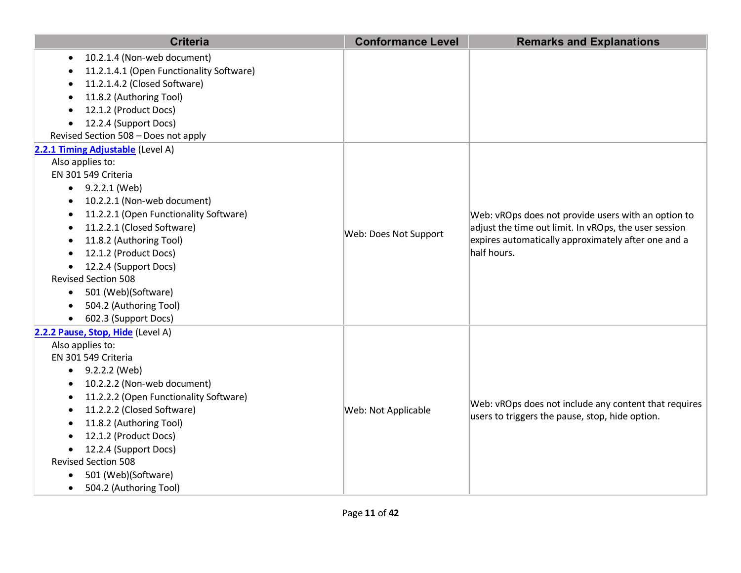| <b>Criteria</b>                                                                                                                                                                                                                                                                                                                                                                                                                                        | <b>Conformance Level</b> | <b>Remarks and Explanations</b>                                                                                                                                                    |
|--------------------------------------------------------------------------------------------------------------------------------------------------------------------------------------------------------------------------------------------------------------------------------------------------------------------------------------------------------------------------------------------------------------------------------------------------------|--------------------------|------------------------------------------------------------------------------------------------------------------------------------------------------------------------------------|
| 10.2.1.4 (Non-web document)<br>$\bullet$<br>11.2.1.4.1 (Open Functionality Software)<br>11.2.1.4.2 (Closed Software)<br>11.8.2 (Authoring Tool)<br>12.1.2 (Product Docs)<br>12.2.4 (Support Docs)<br>Revised Section 508 - Does not apply                                                                                                                                                                                                              |                          |                                                                                                                                                                                    |
| 2.2.1 Timing Adjustable (Level A)<br>Also applies to:<br>EN 301 549 Criteria<br>$\bullet$ 9.2.2.1 (Web)<br>10.2.2.1 (Non-web document)<br>11.2.2.1 (Open Functionality Software)<br>11.2.2.1 (Closed Software)<br>$\bullet$<br>11.8.2 (Authoring Tool)<br>12.1.2 (Product Docs)<br>$\bullet$<br>12.2.4 (Support Docs)<br><b>Revised Section 508</b><br>501 (Web)(Software)<br>$\bullet$<br>504.2 (Authoring Tool)<br>602.3 (Support Docs)<br>$\bullet$ | Web: Does Not Support    | Web: vROps does not provide users with an option to<br>adjust the time out limit. In vROps, the user session<br>expires automatically approximately after one and a<br>half hours. |
| 2.2.2 Pause, Stop, Hide (Level A)<br>Also applies to:<br>EN 301 549 Criteria<br>$\bullet$ 9.2.2.2 (Web)<br>10.2.2.2 (Non-web document)<br>11.2.2.2 (Open Functionality Software)<br>11.2.2.2 (Closed Software)<br>11.8.2 (Authoring Tool)<br>12.1.2 (Product Docs)<br>12.2.4 (Support Docs)<br>$\bullet$<br><b>Revised Section 508</b><br>501 (Web)(Software)<br>504.2 (Authoring Tool)<br>$\bullet$                                                   | Web: Not Applicable      | Web: vROps does not include any content that requires<br>users to triggers the pause, stop, hide option.                                                                           |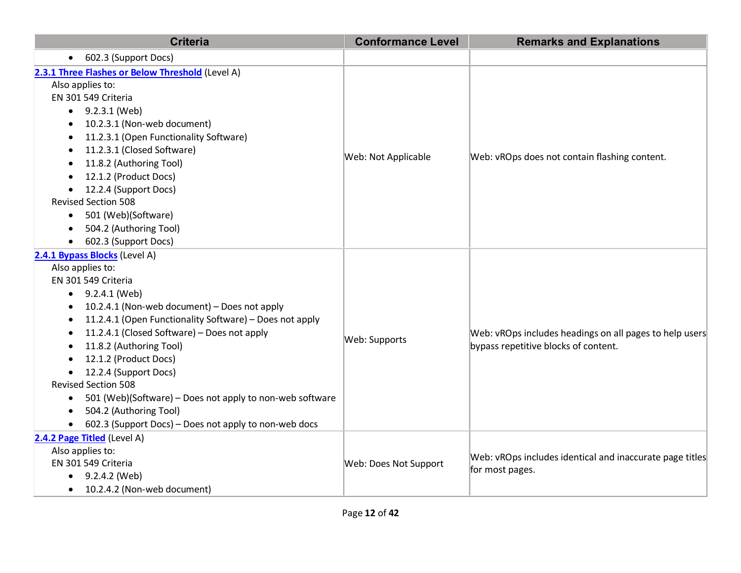| <b>Criteria</b>                                                                                                                                                                                                                                                                                                                                                                                                                                                                                                                                                                                                     | <b>Conformance Level</b> | <b>Remarks and Explanations</b>                                                                 |
|---------------------------------------------------------------------------------------------------------------------------------------------------------------------------------------------------------------------------------------------------------------------------------------------------------------------------------------------------------------------------------------------------------------------------------------------------------------------------------------------------------------------------------------------------------------------------------------------------------------------|--------------------------|-------------------------------------------------------------------------------------------------|
| 602.3 (Support Docs)<br>$\bullet$                                                                                                                                                                                                                                                                                                                                                                                                                                                                                                                                                                                   |                          |                                                                                                 |
| 2.3.1 Three Flashes or Below Threshold (Level A)<br>Also applies to:<br>EN 301 549 Criteria<br>$\bullet$ 9.2.3.1 (Web)<br>10.2.3.1 (Non-web document)<br>11.2.3.1 (Open Functionality Software)<br>11.2.3.1 (Closed Software)<br>11.8.2 (Authoring Tool)<br>12.1.2 (Product Docs)<br>12.2.4 (Support Docs)<br>$\bullet$<br><b>Revised Section 508</b><br>501 (Web)(Software)<br>$\bullet$<br>504.2 (Authoring Tool)                                                                                                                                                                                                 | Web: Not Applicable      | Web: vROps does not contain flashing content.                                                   |
| 602.3 (Support Docs)<br>2.4.1 Bypass Blocks (Level A)<br>Also applies to:<br>EN 301 549 Criteria<br>9.2.4.1 (Web)<br>$\bullet$<br>10.2.4.1 (Non-web document) – Does not apply<br>11.2.4.1 (Open Functionality Software) - Does not apply<br>$\bullet$<br>11.2.4.1 (Closed Software) - Does not apply<br>$\bullet$<br>11.8.2 (Authoring Tool)<br>12.1.2 (Product Docs)<br>12.2.4 (Support Docs)<br>$\bullet$<br><b>Revised Section 508</b><br>501 (Web)(Software) - Does not apply to non-web software<br>$\bullet$<br>504.2 (Authoring Tool)<br>602.3 (Support Docs) - Does not apply to non-web docs<br>$\bullet$ | Web: Supports            | Web: vROps includes headings on all pages to help users<br>bypass repetitive blocks of content. |
| 2.4.2 Page Titled (Level A)<br>Also applies to:<br>EN 301 549 Criteria<br>$\bullet$ 9.2.4.2 (Web)<br>10.2.4.2 (Non-web document)                                                                                                                                                                                                                                                                                                                                                                                                                                                                                    | Web: Does Not Support    | Web: vROps includes identical and inaccurate page titles<br>for most pages.                     |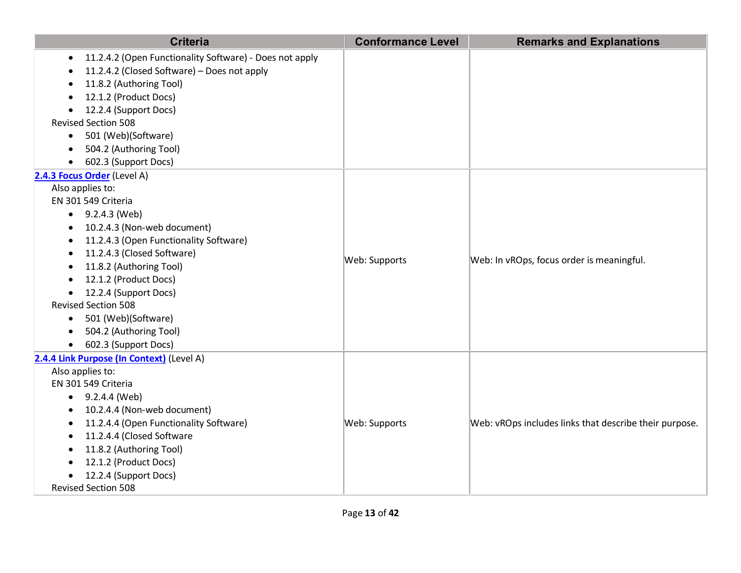| <b>Criteria</b>                                                                                                                                                                                                                                                                                                                                                                                                                                                            | <b>Conformance Level</b> | <b>Remarks and Explanations</b>                        |
|----------------------------------------------------------------------------------------------------------------------------------------------------------------------------------------------------------------------------------------------------------------------------------------------------------------------------------------------------------------------------------------------------------------------------------------------------------------------------|--------------------------|--------------------------------------------------------|
| 11.2.4.2 (Open Functionality Software) - Does not apply<br>11.2.4.2 (Closed Software) - Does not apply<br>11.8.2 (Authoring Tool)<br>12.1.2 (Product Docs)<br>12.2.4 (Support Docs)<br><b>Revised Section 508</b><br>501 (Web)(Software)<br>$\bullet$<br>504.2 (Authoring Tool)<br>602.3 (Support Docs)                                                                                                                                                                    |                          |                                                        |
| 2.4.3 Focus Order (Level A)<br>Also applies to:<br>EN 301 549 Criteria<br>$\bullet$ 9.2.4.3 (Web)<br>10.2.4.3 (Non-web document)<br>$\bullet$<br>11.2.4.3 (Open Functionality Software)<br>$\bullet$<br>11.2.4.3 (Closed Software)<br>$\bullet$<br>11.8.2 (Authoring Tool)<br>12.1.2 (Product Docs)<br>12.2.4 (Support Docs)<br><b>Revised Section 508</b><br>501 (Web)(Software)<br>$\bullet$<br>504.2 (Authoring Tool)<br>$\bullet$<br>602.3 (Support Docs)<br>$\bullet$ | Web: Supports            | Web: In vROps, focus order is meaningful.              |
| 2.4.4 Link Purpose (In Context) (Level A)<br>Also applies to:<br>EN 301 549 Criteria<br>$\bullet$ 9.2.4.4 (Web)<br>10.2.4.4 (Non-web document)<br>11.2.4.4 (Open Functionality Software)<br>11.2.4.4 (Closed Software<br>11.8.2 (Authoring Tool)<br>12.1.2 (Product Docs)<br>12.2.4 (Support Docs)<br><b>Revised Section 508</b>                                                                                                                                           | Web: Supports            | Web: vROps includes links that describe their purpose. |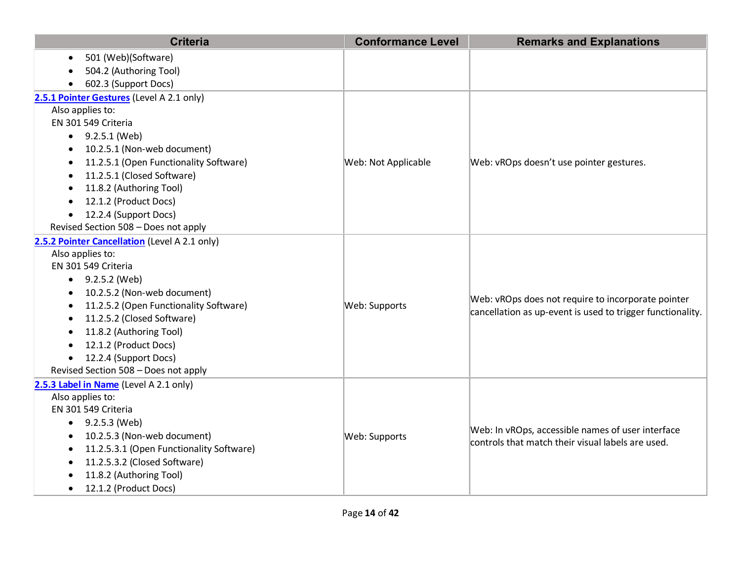| <b>Criteria</b>                               | <b>Conformance Level</b> | <b>Remarks and Explanations</b>                                                                                  |
|-----------------------------------------------|--------------------------|------------------------------------------------------------------------------------------------------------------|
| 501 (Web)(Software)                           |                          |                                                                                                                  |
| 504.2 (Authoring Tool)                        |                          |                                                                                                                  |
| 602.3 (Support Docs)                          |                          |                                                                                                                  |
| 2.5.1 Pointer Gestures (Level A 2.1 only)     |                          |                                                                                                                  |
| Also applies to:                              |                          |                                                                                                                  |
| EN 301 549 Criteria                           |                          |                                                                                                                  |
| $\bullet$ 9.2.5.1 (Web)                       |                          |                                                                                                                  |
| 10.2.5.1 (Non-web document)                   |                          |                                                                                                                  |
| 11.2.5.1 (Open Functionality Software)        | Web: Not Applicable      | Web: vROps doesn't use pointer gestures.                                                                         |
| 11.2.5.1 (Closed Software)                    |                          |                                                                                                                  |
| 11.8.2 (Authoring Tool)                       |                          |                                                                                                                  |
| 12.1.2 (Product Docs)                         |                          |                                                                                                                  |
| 12.2.4 (Support Docs)<br>$\bullet$            |                          |                                                                                                                  |
| Revised Section 508 - Does not apply          |                          |                                                                                                                  |
| 2.5.2 Pointer Cancellation (Level A 2.1 only) |                          |                                                                                                                  |
| Also applies to:                              |                          | Web: vROps does not require to incorporate pointer<br>cancellation as up-event is used to trigger functionality. |
| EN 301 549 Criteria                           |                          |                                                                                                                  |
| • $9.2.5.2$ (Web)                             |                          |                                                                                                                  |
| 10.2.5.2 (Non-web document)                   |                          |                                                                                                                  |
| 11.2.5.2 (Open Functionality Software)        | Web: Supports            |                                                                                                                  |
| 11.2.5.2 (Closed Software)                    |                          |                                                                                                                  |
| 11.8.2 (Authoring Tool)                       |                          |                                                                                                                  |
| 12.1.2 (Product Docs)<br>$\bullet$            |                          |                                                                                                                  |
| 12.2.4 (Support Docs)<br>$\bullet$            |                          |                                                                                                                  |
| Revised Section 508 - Does not apply          |                          |                                                                                                                  |
| 2.5.3 Label in Name (Level A 2.1 only)        |                          |                                                                                                                  |
| Also applies to:                              |                          |                                                                                                                  |
| EN 301 549 Criteria                           |                          |                                                                                                                  |
| 9.2.5.3 (Web)<br>$\bullet$                    | Web: Supports            | Web: In vROps, accessible names of user interface<br>controls that match their visual labels are used.           |
| 10.2.5.3 (Non-web document)                   |                          |                                                                                                                  |
| 11.2.5.3.1 (Open Functionality Software)      |                          |                                                                                                                  |
| 11.2.5.3.2 (Closed Software)<br>٠             |                          |                                                                                                                  |
| 11.8.2 (Authoring Tool)                       |                          |                                                                                                                  |
| 12.1.2 (Product Docs)<br>٠                    |                          |                                                                                                                  |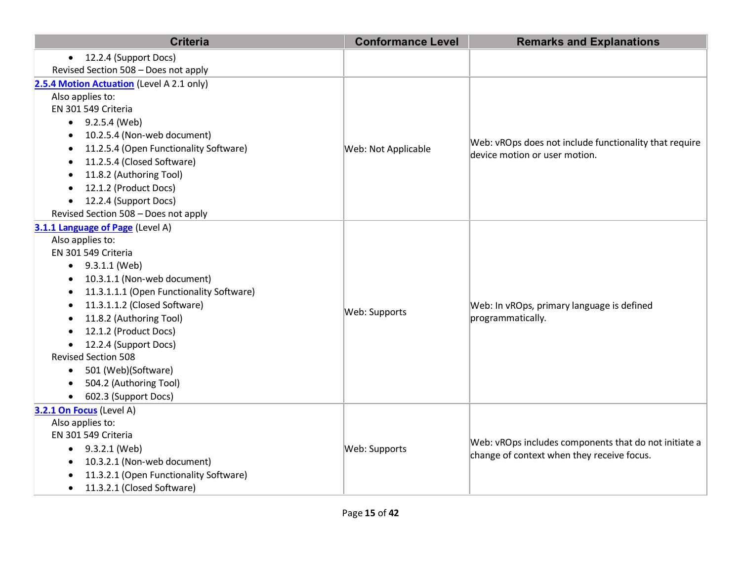| <b>Criteria</b>                           | <b>Conformance Level</b> | <b>Remarks and Explanations</b>                                                         |
|-------------------------------------------|--------------------------|-----------------------------------------------------------------------------------------|
| • 12.2.4 (Support Docs)                   |                          |                                                                                         |
| Revised Section 508 - Does not apply      |                          |                                                                                         |
| 2.5.4 Motion Actuation (Level A 2.1 only) |                          |                                                                                         |
| Also applies to:                          |                          |                                                                                         |
| EN 301 549 Criteria                       |                          |                                                                                         |
| $\bullet$ 9.2.5.4 (Web)                   |                          |                                                                                         |
| 10.2.5.4 (Non-web document)               |                          |                                                                                         |
| 11.2.5.4 (Open Functionality Software)    | Web: Not Applicable      | Web: vROps does not include functionality that require<br>device motion or user motion. |
| 11.2.5.4 (Closed Software)                |                          |                                                                                         |
| 11.8.2 (Authoring Tool)                   |                          |                                                                                         |
| 12.1.2 (Product Docs)                     |                          |                                                                                         |
| 12.2.4 (Support Docs)<br>$\bullet$        |                          |                                                                                         |
| Revised Section 508 - Does not apply      |                          |                                                                                         |
| 3.1.1 Language of Page (Level A)          |                          |                                                                                         |
| Also applies to:                          |                          |                                                                                         |
| EN 301 549 Criteria                       |                          |                                                                                         |
| 9.3.1.1 (Web)<br>$\bullet$                |                          |                                                                                         |
| 10.3.1.1 (Non-web document)               |                          |                                                                                         |
| 11.3.1.1.1 (Open Functionality Software)  |                          |                                                                                         |
| 11.3.1.1.2 (Closed Software)              | Web: Supports            | Web: In vROps, primary language is defined<br>programmatically.                         |
| 11.8.2 (Authoring Tool)                   |                          |                                                                                         |
| 12.1.2 (Product Docs)<br>$\bullet$        |                          |                                                                                         |
| 12.2.4 (Support Docs)<br>$\bullet$        |                          |                                                                                         |
| <b>Revised Section 508</b>                |                          |                                                                                         |
| 501 (Web)(Software)<br>$\bullet$          |                          |                                                                                         |
| 504.2 (Authoring Tool)                    |                          |                                                                                         |
| 602.3 (Support Docs)                      |                          |                                                                                         |
| 3.2.1 On Focus (Level A)                  |                          |                                                                                         |
| Also applies to:                          |                          |                                                                                         |
| EN 301 549 Criteria                       | Web: Supports            | Web: vROps includes components that do not initiate a                                   |
| $\bullet$ 9.3.2.1 (Web)                   |                          | change of context when they receive focus.                                              |
| 10.3.2.1 (Non-web document)<br>$\bullet$  |                          |                                                                                         |
| 11.3.2.1 (Open Functionality Software)    |                          |                                                                                         |
| 11.3.2.1 (Closed Software)<br>$\bullet$   |                          |                                                                                         |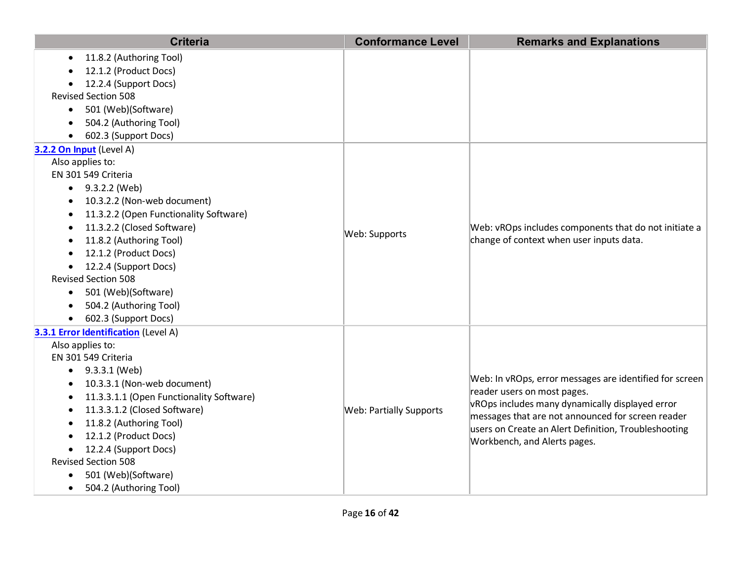| <b>Criteria</b>                          | <b>Conformance Level</b>       | <b>Remarks and Explanations</b>                                                                   |
|------------------------------------------|--------------------------------|---------------------------------------------------------------------------------------------------|
| 11.8.2 (Authoring Tool)<br>$\bullet$     |                                |                                                                                                   |
| 12.1.2 (Product Docs)                    |                                |                                                                                                   |
| 12.2.4 (Support Docs)                    |                                |                                                                                                   |
| <b>Revised Section 508</b>               |                                |                                                                                                   |
| 501 (Web)(Software)<br>$\bullet$         |                                |                                                                                                   |
| 504.2 (Authoring Tool)                   |                                |                                                                                                   |
| 602.3 (Support Docs)                     |                                |                                                                                                   |
| 3.2.2 On Input (Level A)                 |                                |                                                                                                   |
| Also applies to:                         |                                |                                                                                                   |
| EN 301 549 Criteria                      |                                |                                                                                                   |
| $\bullet$ 9.3.2.2 (Web)                  |                                |                                                                                                   |
| 10.3.2.2 (Non-web document)              |                                |                                                                                                   |
| 11.3.2.2 (Open Functionality Software)   |                                |                                                                                                   |
| 11.3.2.2 (Closed Software)<br>$\bullet$  | Web: Supports                  | Web: vROps includes components that do not initiate a<br>change of context when user inputs data. |
| 11.8.2 (Authoring Tool)                  |                                |                                                                                                   |
| 12.1.2 (Product Docs)                    |                                |                                                                                                   |
| 12.2.4 (Support Docs)<br>$\bullet$       |                                |                                                                                                   |
| <b>Revised Section 508</b>               |                                |                                                                                                   |
| 501 (Web)(Software)<br>$\bullet$         |                                |                                                                                                   |
| 504.2 (Authoring Tool)                   |                                |                                                                                                   |
| 602.3 (Support Docs)<br>$\bullet$        |                                |                                                                                                   |
| 3.3.1 Error Identification (Level A)     |                                |                                                                                                   |
| Also applies to:                         |                                |                                                                                                   |
| EN 301 549 Criteria                      |                                | Web: In vROps, error messages are identified for screen                                           |
| $\bullet$ 9.3.3.1 (Web)                  |                                |                                                                                                   |
| 10.3.3.1 (Non-web document)              |                                | reader users on most pages.                                                                       |
| 11.3.3.1.1 (Open Functionality Software) |                                | vROps includes many dynamically displayed error                                                   |
| 11.3.3.1.2 (Closed Software)             | <b>Web: Partially Supports</b> | messages that are not announced for screen reader                                                 |
| 11.8.2 (Authoring Tool)                  |                                | users on Create an Alert Definition, Troubleshooting<br>Workbench, and Alerts pages.              |
| 12.1.2 (Product Docs)                    |                                |                                                                                                   |
| 12.2.4 (Support Docs)<br>$\bullet$       |                                |                                                                                                   |
| <b>Revised Section 508</b>               |                                |                                                                                                   |
| 501 (Web)(Software)                      |                                |                                                                                                   |
| 504.2 (Authoring Tool)<br>٠              |                                |                                                                                                   |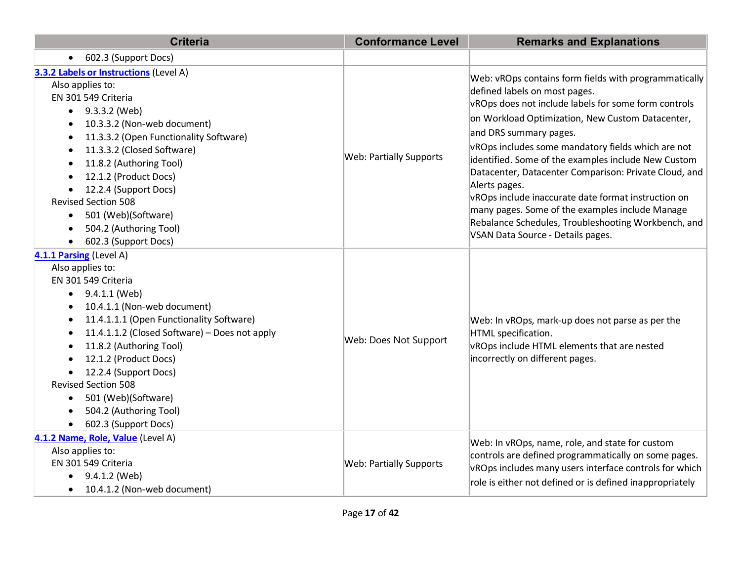| <b>Criteria</b>                                                                                                                                                                                                                                                                                                                                                                                                                                                                                                                 | <b>Conformance Level</b>       | <b>Remarks and Explanations</b>                                                                                                                                                                                                                                                                                                                                                                                                                                                                                                                                                                                           |
|---------------------------------------------------------------------------------------------------------------------------------------------------------------------------------------------------------------------------------------------------------------------------------------------------------------------------------------------------------------------------------------------------------------------------------------------------------------------------------------------------------------------------------|--------------------------------|---------------------------------------------------------------------------------------------------------------------------------------------------------------------------------------------------------------------------------------------------------------------------------------------------------------------------------------------------------------------------------------------------------------------------------------------------------------------------------------------------------------------------------------------------------------------------------------------------------------------------|
| 602.3 (Support Docs)<br>$\bullet$                                                                                                                                                                                                                                                                                                                                                                                                                                                                                               |                                |                                                                                                                                                                                                                                                                                                                                                                                                                                                                                                                                                                                                                           |
| 3.3.2 Labels or Instructions (Level A)<br>Also applies to:<br>EN 301 549 Criteria<br>9.3.3.2 (Web)<br>$\bullet$<br>10.3.3.2 (Non-web document)<br>$\bullet$<br>11.3.3.2 (Open Functionality Software)<br>$\bullet$<br>11.3.3.2 (Closed Software)<br>$\bullet$<br>11.8.2 (Authoring Tool)<br>$\bullet$<br>12.1.2 (Product Docs)<br>$\bullet$<br>12.2.4 (Support Docs)<br>$\bullet$<br><b>Revised Section 508</b><br>501 (Web)(Software)<br>$\bullet$<br>504.2 (Authoring Tool)<br>$\bullet$<br>602.3 (Support Docs)<br>$\bullet$ | <b>Web: Partially Supports</b> | Web: vROps contains form fields with programmatically<br>defined labels on most pages.<br>vROps does not include labels for some form controls<br>on Workload Optimization, New Custom Datacenter,<br>and DRS summary pages.<br>vROps includes some mandatory fields which are not<br>identified. Some of the examples include New Custom<br>Datacenter, Datacenter Comparison: Private Cloud, and<br>Alerts pages.<br>vROps include inaccurate date format instruction on<br>many pages. Some of the examples include Manage<br>Rebalance Schedules, Troubleshooting Workbench, and<br>VSAN Data Source - Details pages. |
| 4.1.1 Parsing (Level A)<br>Also applies to:<br>EN 301 549 Criteria<br>9.4.1.1 (Web)<br>$\bullet$<br>10.4.1.1 (Non-web document)<br>$\bullet$<br>11.4.1.1.1 (Open Functionality Software)<br>$\bullet$<br>11.4.1.1.2 (Closed Software) - Does not apply<br>$\bullet$<br>11.8.2 (Authoring Tool)<br>٠<br>12.1.2 (Product Docs)<br>12.2.4 (Support Docs)<br>$\bullet$<br><b>Revised Section 508</b><br>501 (Web)(Software)<br>$\bullet$<br>504.2 (Authoring Tool)<br>602.3 (Support Docs)<br>$\bullet$                             | Web: Does Not Support          | Web: In vROps, mark-up does not parse as per the<br>HTML specification.<br>vROps include HTML elements that are nested<br>incorrectly on different pages.                                                                                                                                                                                                                                                                                                                                                                                                                                                                 |
| 4.1.2 Name, Role, Value (Level A)<br>Also applies to:<br>EN 301 549 Criteria<br>9.4.1.2 (Web)<br>$\bullet$<br>10.4.1.2 (Non-web document)<br>$\bullet$                                                                                                                                                                                                                                                                                                                                                                          | <b>Web: Partially Supports</b> | Web: In vROps, name, role, and state for custom<br>controls are defined programmatically on some pages.<br>vROps includes many users interface controls for which<br>role is either not defined or is defined inappropriately                                                                                                                                                                                                                                                                                                                                                                                             |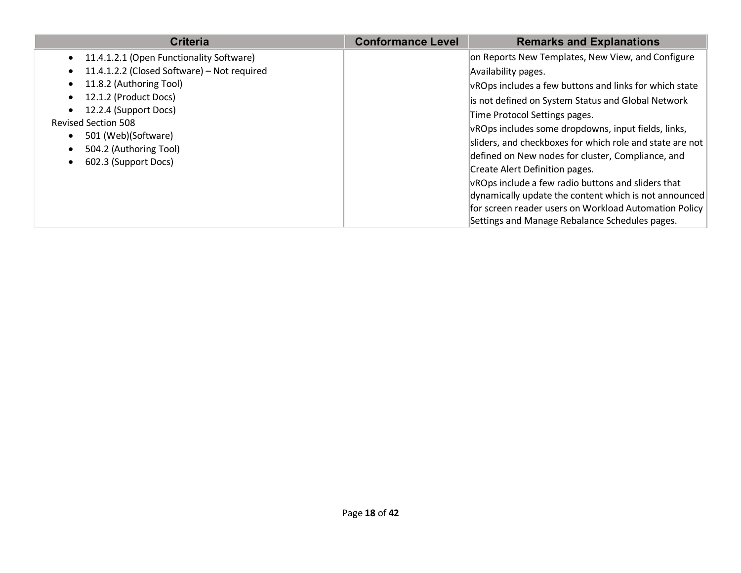| <b>Criteria</b>                                                                                                                                                                                                                                                                                                                      | <b>Conformance Level</b> | <b>Remarks and Explanations</b>                                                                                                                                                                                                                                                                                                                                                                                                                                                                                                                                                                                                                               |
|--------------------------------------------------------------------------------------------------------------------------------------------------------------------------------------------------------------------------------------------------------------------------------------------------------------------------------------|--------------------------|---------------------------------------------------------------------------------------------------------------------------------------------------------------------------------------------------------------------------------------------------------------------------------------------------------------------------------------------------------------------------------------------------------------------------------------------------------------------------------------------------------------------------------------------------------------------------------------------------------------------------------------------------------------|
| 11.4.1.2.1 (Open Functionality Software)<br>$\bullet$<br>11.4.1.2.2 (Closed Software) - Not required<br>$\bullet$<br>11.8.2 (Authoring Tool)<br>12.1.2 (Product Docs)<br>$\bullet$<br>12.2.4 (Support Docs)<br><b>Revised Section 508</b><br>501 (Web)(Software)<br>٠<br>504.2 (Authoring Tool)<br>$\bullet$<br>602.3 (Support Docs) |                          | on Reports New Templates, New View, and Configure<br>Availability pages.<br>vROps includes a few buttons and links for which state<br>is not defined on System Status and Global Network<br>Time Protocol Settings pages.<br>vROps includes some dropdowns, input fields, links,<br>sliders, and checkboxes for which role and state are not<br>defined on New nodes for cluster, Compliance, and<br>Create Alert Definition pages.<br>vROps include a few radio buttons and sliders that<br>dynamically update the content which is not announced<br>for screen reader users on Workload Automation Policy<br>Settings and Manage Rebalance Schedules pages. |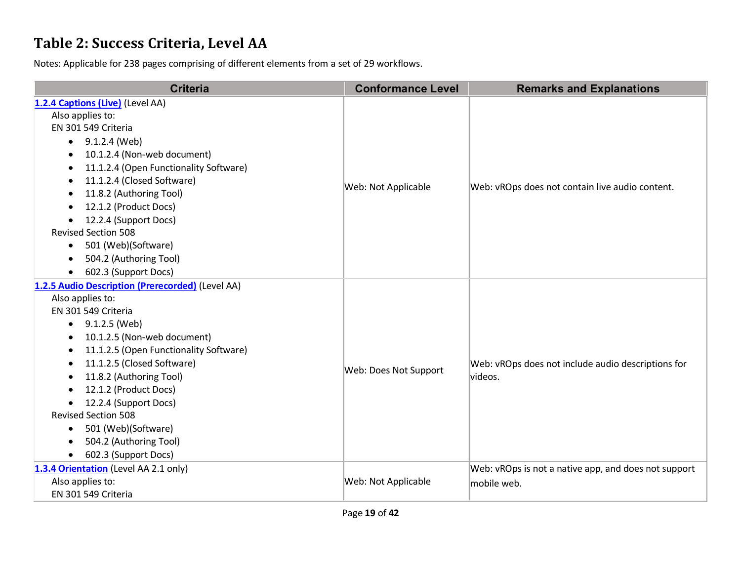### **Table 2: Success Criteria, Level AA**

| <b>Criteria</b>                                                                                                                                                     | <b>Conformance Level</b> | <b>Remarks and Explanations</b>                               |
|---------------------------------------------------------------------------------------------------------------------------------------------------------------------|--------------------------|---------------------------------------------------------------|
| 1.2.4 Captions (Live) (Level AA)<br>Also applies to:<br>EN 301 549 Criteria<br>9.1.2.4 (Web)<br>$\bullet$<br>10.1.2.4 (Non-web document)<br>$\bullet$               |                          |                                                               |
| 11.1.2.4 (Open Functionality Software)<br>11.1.2.4 (Closed Software)<br>٠<br>11.8.2 (Authoring Tool)<br>12.1.2 (Product Docs)<br>$\bullet$<br>12.2.4 (Support Docs) | Web: Not Applicable      | Web: vROps does not contain live audio content.               |
| <b>Revised Section 508</b><br>501 (Web)(Software)<br>$\bullet$<br>504.2 (Authoring Tool)<br>$\bullet$<br>602.3 (Support Docs)<br>$\bullet$                          |                          |                                                               |
| 1.2.5 Audio Description (Prerecorded) (Level AA)                                                                                                                    |                          |                                                               |
| Also applies to:<br>EN 301 549 Criteria                                                                                                                             |                          |                                                               |
| 9.1.2.5 (Web)<br>$\bullet$                                                                                                                                          |                          |                                                               |
| 10.1.2.5 (Non-web document)<br>٠                                                                                                                                    |                          |                                                               |
| 11.1.2.5 (Open Functionality Software)<br>٠                                                                                                                         |                          |                                                               |
| 11.1.2.5 (Closed Software)<br>$\bullet$                                                                                                                             |                          | Web: vROps does not include audio descriptions for<br>videos. |
| 11.8.2 (Authoring Tool)<br>$\bullet$                                                                                                                                | Web: Does Not Support    |                                                               |
| 12.1.2 (Product Docs)                                                                                                                                               |                          |                                                               |
| 12.2.4 (Support Docs)<br>$\bullet$                                                                                                                                  |                          |                                                               |
| <b>Revised Section 508</b>                                                                                                                                          |                          |                                                               |
| 501 (Web)(Software)<br>$\bullet$                                                                                                                                    |                          |                                                               |
| 504.2 (Authoring Tool)                                                                                                                                              |                          |                                                               |
| 602.3 (Support Docs)<br>$\bullet$                                                                                                                                   |                          |                                                               |
| 1.3.4 Orientation (Level AA 2.1 only)                                                                                                                               |                          | Web: vROps is not a native app, and does not support          |
| Also applies to:                                                                                                                                                    | Web: Not Applicable      | mobile web.                                                   |
| EN 301 549 Criteria                                                                                                                                                 |                          |                                                               |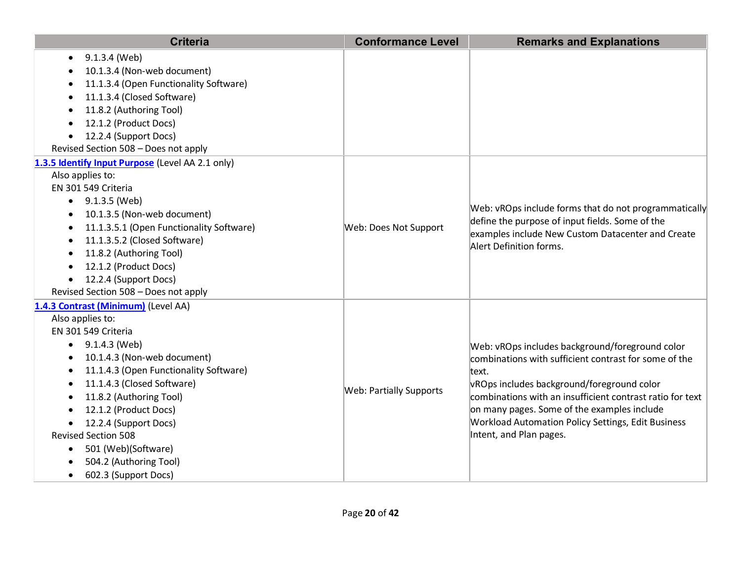| <b>Criteria</b>                                                                                                                                                                                                                                                                                                                                                                                                                        | <b>Conformance Level</b> | <b>Remarks and Explanations</b>                                                                                                                                                                                                                                                                                                                                     |
|----------------------------------------------------------------------------------------------------------------------------------------------------------------------------------------------------------------------------------------------------------------------------------------------------------------------------------------------------------------------------------------------------------------------------------------|--------------------------|---------------------------------------------------------------------------------------------------------------------------------------------------------------------------------------------------------------------------------------------------------------------------------------------------------------------------------------------------------------------|
| 9.1.3.4 (Web)<br>10.1.3.4 (Non-web document)<br>11.1.3.4 (Open Functionality Software)<br>$\bullet$<br>11.1.3.4 (Closed Software)<br>11.8.2 (Authoring Tool)<br>12.1.2 (Product Docs)<br>12.2.4 (Support Docs)<br>Revised Section 508 - Does not apply                                                                                                                                                                                 |                          |                                                                                                                                                                                                                                                                                                                                                                     |
| 1.3.5 Identify Input Purpose (Level AA 2.1 only)<br>Also applies to:<br>EN 301 549 Criteria<br>9.1.3.5 (Web)<br>٠<br>10.1.3.5 (Non-web document)<br>11.1.3.5.1 (Open Functionality Software)<br>$\bullet$<br>11.1.3.5.2 (Closed Software)<br>11.8.2 (Authoring Tool)<br>12.1.2 (Product Docs)<br>12.2.4 (Support Docs)<br>Revised Section 508 - Does not apply                                                                         | Web: Does Not Support    | Web: vROps include forms that do not programmatically<br>define the purpose of input fields. Some of the<br>examples include New Custom Datacenter and Create<br>Alert Definition forms.                                                                                                                                                                            |
| 1.4.3 Contrast (Minimum) (Level AA)<br>Also applies to:<br>EN 301 549 Criteria<br>9.1.4.3 (Web)<br>٠<br>10.1.4.3 (Non-web document)<br>11.1.4.3 (Open Functionality Software)<br>11.1.4.3 (Closed Software)<br>$\bullet$<br>11.8.2 (Authoring Tool)<br>12.1.2 (Product Docs)<br>12.2.4 (Support Docs)<br><b>Revised Section 508</b><br>501 (Web)(Software)<br>$\bullet$<br>504.2 (Authoring Tool)<br>602.3 (Support Docs)<br>$\bullet$ | Web: Partially Supports  | Web: vROps includes background/foreground color<br>combinations with sufficient contrast for some of the<br>text.<br>vROps includes background/foreground color<br>combinations with an insufficient contrast ratio for text<br>on many pages. Some of the examples include<br><b>Workload Automation Policy Settings, Edit Business</b><br>Intent, and Plan pages. |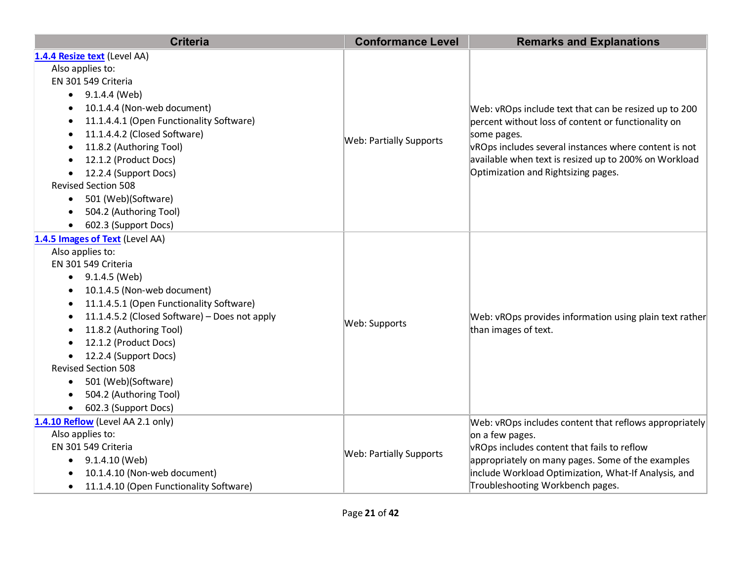| <b>Criteria</b>                                       | <b>Conformance Level</b>       | <b>Remarks and Explanations</b>                                                 |  |
|-------------------------------------------------------|--------------------------------|---------------------------------------------------------------------------------|--|
| 1.4.4 Resize text (Level AA)                          |                                |                                                                                 |  |
| Also applies to:                                      |                                |                                                                                 |  |
| EN 301 549 Criteria                                   |                                |                                                                                 |  |
| 9.1.4.4 (Web)                                         |                                |                                                                                 |  |
| 10.1.4.4 (Non-web document)                           | <b>Web: Partially Supports</b> | Web: vROps include text that can be resized up to 200                           |  |
| 11.1.4.4.1 (Open Functionality Software)<br>$\bullet$ |                                | percent without loss of content or functionality on                             |  |
| 11.1.4.4.2 (Closed Software)                          |                                | some pages.                                                                     |  |
| 11.8.2 (Authoring Tool)<br>$\bullet$                  |                                | vROps includes several instances where content is not                           |  |
| 12.1.2 (Product Docs)                                 |                                | available when text is resized up to 200% on Workload                           |  |
| 12.2.4 (Support Docs)                                 |                                | Optimization and Rightsizing pages.                                             |  |
| <b>Revised Section 508</b>                            |                                |                                                                                 |  |
| 501 (Web)(Software)                                   |                                |                                                                                 |  |
| 504.2 (Authoring Tool)                                |                                |                                                                                 |  |
| 602.3 (Support Docs)                                  |                                |                                                                                 |  |
| 1.4.5 Images of Text (Level AA)                       |                                |                                                                                 |  |
| Also applies to:                                      |                                |                                                                                 |  |
| EN 301 549 Criteria                                   |                                |                                                                                 |  |
| $\bullet$ 9.1.4.5 (Web)                               | Web: Supports                  | Web: vROps provides information using plain text rather<br>than images of text. |  |
| 10.1.4.5 (Non-web document)<br>$\bullet$              |                                |                                                                                 |  |
| 11.1.4.5.1 (Open Functionality Software)              |                                |                                                                                 |  |
| 11.1.4.5.2 (Closed Software) - Does not apply         |                                |                                                                                 |  |
| 11.8.2 (Authoring Tool)                               |                                |                                                                                 |  |
| 12.1.2 (Product Docs)                                 |                                |                                                                                 |  |
| 12.2.4 (Support Docs)<br>$\bullet$                    |                                |                                                                                 |  |
| <b>Revised Section 508</b>                            |                                |                                                                                 |  |
| 501 (Web)(Software)                                   |                                |                                                                                 |  |
| 504.2 (Authoring Tool)                                |                                |                                                                                 |  |
| 602.3 (Support Docs)                                  |                                |                                                                                 |  |
| 1.4.10 Reflow (Level AA 2.1 only)                     |                                | Web: vROps includes content that reflows appropriately                          |  |
| Also applies to:                                      |                                | on a few pages.                                                                 |  |
| EN 301 549 Criteria                                   | Web: Partially Supports        | vROps includes content that fails to reflow                                     |  |
| $\bullet$ 9.1.4.10 (Web)                              |                                | appropriately on many pages. Some of the examples                               |  |
| 10.1.4.10 (Non-web document)                          |                                | include Workload Optimization, What-If Analysis, and                            |  |
| 11.1.4.10 (Open Functionality Software)<br>٠          |                                | Troubleshooting Workbench pages.                                                |  |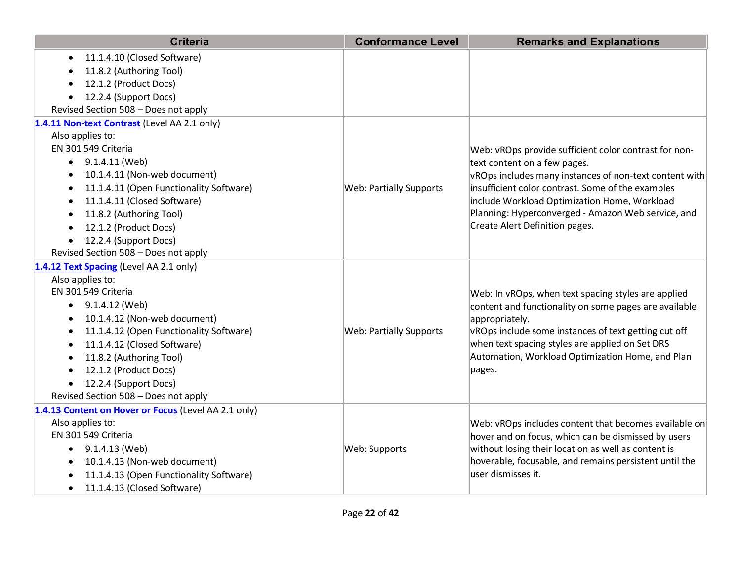| <b>Criteria</b>                                      | <b>Conformance Level</b>       | <b>Remarks and Explanations</b>                        |
|------------------------------------------------------|--------------------------------|--------------------------------------------------------|
| 11.1.4.10 (Closed Software)<br>$\bullet$             |                                |                                                        |
| 11.8.2 (Authoring Tool)                              |                                |                                                        |
| 12.1.2 (Product Docs)                                |                                |                                                        |
| 12.2.4 (Support Docs)<br>$\bullet$                   |                                |                                                        |
| Revised Section 508 - Does not apply                 |                                |                                                        |
| 1.4.11 Non-text Contrast (Level AA 2.1 only)         |                                |                                                        |
| Also applies to:                                     |                                |                                                        |
| EN 301 549 Criteria                                  |                                | Web: vROps provide sufficient color contrast for non-  |
| $\bullet$ 9.1.4.11 (Web)                             |                                | text content on a few pages.                           |
| 10.1.4.11 (Non-web document)                         |                                | vROps includes many instances of non-text content with |
| 11.1.4.11 (Open Functionality Software)              | <b>Web: Partially Supports</b> | insufficient color contrast. Some of the examples      |
| 11.1.4.11 (Closed Software)                          |                                | include Workload Optimization Home, Workload           |
| 11.8.2 (Authoring Tool)<br>$\bullet$                 |                                | Planning: Hyperconverged - Amazon Web service, and     |
| 12.1.2 (Product Docs)<br>$\bullet$                   |                                | Create Alert Definition pages.                         |
| 12.2.4 (Support Docs)                                |                                |                                                        |
| Revised Section 508 - Does not apply                 |                                |                                                        |
| 1.4.12 Text Spacing (Level AA 2.1 only)              |                                |                                                        |
| Also applies to:                                     |                                |                                                        |
| EN 301 549 Criteria                                  |                                | Web: In vROps, when text spacing styles are applied    |
| 9.1.4.12 (Web)<br>$\bullet$                          |                                | content and functionality on some pages are available  |
| 10.1.4.12 (Non-web document)<br>$\bullet$            |                                | appropriately.                                         |
| 11.1.4.12 (Open Functionality Software)<br>$\bullet$ | <b>Web: Partially Supports</b> | vROps include some instances of text getting cut off   |
| 11.1.4.12 (Closed Software)<br>$\bullet$             |                                | when text spacing styles are applied on Set DRS        |
| 11.8.2 (Authoring Tool)                              |                                | Automation, Workload Optimization Home, and Plan       |
| 12.1.2 (Product Docs)                                |                                | pages.                                                 |
| 12.2.4 (Support Docs)<br>$\bullet$                   |                                |                                                        |
| Revised Section 508 - Does not apply                 |                                |                                                        |
| 1.4.13 Content on Hover or Focus (Level AA 2.1 only) |                                |                                                        |
| Also applies to:                                     |                                | Web: vROps includes content that becomes available on  |
| EN 301 549 Criteria                                  |                                | hover and on focus, which can be dismissed by users    |
| 9.1.4.13 (Web)<br>$\bullet$                          | Web: Supports                  | without losing their location as well as content is    |
| 10.1.4.13 (Non-web document)<br>$\bullet$            |                                | hoverable, focusable, and remains persistent until the |
| 11.1.4.13 (Open Functionality Software)              |                                | luser dismisses it.                                    |
| 11.1.4.13 (Closed Software)<br>$\bullet$             |                                |                                                        |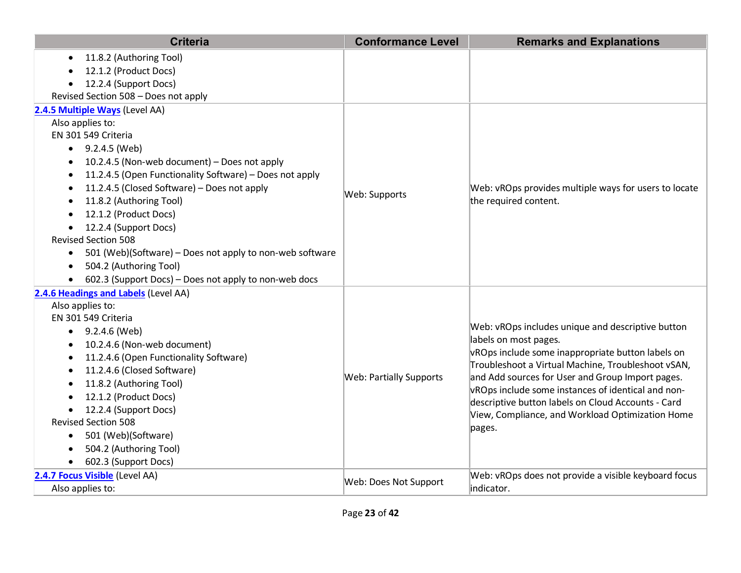| <b>Criteria</b>                                                       | <b>Conformance Level</b> | <b>Remarks and Explanations</b>                                                                                                                                                                                                            |
|-----------------------------------------------------------------------|--------------------------|--------------------------------------------------------------------------------------------------------------------------------------------------------------------------------------------------------------------------------------------|
| 11.8.2 (Authoring Tool)<br>$\bullet$                                  |                          |                                                                                                                                                                                                                                            |
| 12.1.2 (Product Docs)                                                 |                          |                                                                                                                                                                                                                                            |
| 12.2.4 (Support Docs)<br>$\bullet$                                    |                          |                                                                                                                                                                                                                                            |
| Revised Section 508 - Does not apply                                  |                          |                                                                                                                                                                                                                                            |
| 2.4.5 Multiple Ways (Level AA)                                        |                          |                                                                                                                                                                                                                                            |
| Also applies to:                                                      |                          |                                                                                                                                                                                                                                            |
| EN 301 549 Criteria                                                   |                          |                                                                                                                                                                                                                                            |
| $\bullet$ 9.2.4.5 (Web)                                               |                          |                                                                                                                                                                                                                                            |
| 10.2.4.5 (Non-web document) - Does not apply<br>٠                     |                          |                                                                                                                                                                                                                                            |
| 11.2.4.5 (Open Functionality Software) - Does not apply               |                          |                                                                                                                                                                                                                                            |
| 11.2.4.5 (Closed Software) - Does not apply                           | Web: Supports            | Web: vROps provides multiple ways for users to locate                                                                                                                                                                                      |
| 11.8.2 (Authoring Tool)                                               |                          | the required content.                                                                                                                                                                                                                      |
| 12.1.2 (Product Docs)                                                 |                          |                                                                                                                                                                                                                                            |
| 12.2.4 (Support Docs)<br>$\bullet$                                    |                          |                                                                                                                                                                                                                                            |
| <b>Revised Section 508</b>                                            |                          |                                                                                                                                                                                                                                            |
| 501 (Web)(Software) - Does not apply to non-web software<br>$\bullet$ |                          |                                                                                                                                                                                                                                            |
| 504.2 (Authoring Tool)<br>$\bullet$                                   |                          |                                                                                                                                                                                                                                            |
| 602.3 (Support Docs) – Does not apply to non-web docs                 |                          |                                                                                                                                                                                                                                            |
| 2.4.6 Headings and Labels (Level AA)                                  |                          |                                                                                                                                                                                                                                            |
| Also applies to:                                                      |                          |                                                                                                                                                                                                                                            |
| EN 301 549 Criteria                                                   |                          |                                                                                                                                                                                                                                            |
| 9.2.4.6 (Web)<br>٠                                                    |                          | Web: vROps includes unique and descriptive button                                                                                                                                                                                          |
| 10.2.4.6 (Non-web document)                                           |                          | labels on most pages.<br>vROps include some inappropriate button labels on<br>Troubleshoot a Virtual Machine, Troubleshoot vSAN,<br>and Add sources for User and Group Import pages.<br>vROps include some instances of identical and non- |
| 11.2.4.6 (Open Functionality Software)<br>٠                           |                          |                                                                                                                                                                                                                                            |
| 11.2.4.6 (Closed Software)<br>$\bullet$                               | Web: Partially Supports  |                                                                                                                                                                                                                                            |
| 11.8.2 (Authoring Tool)<br>$\bullet$                                  |                          |                                                                                                                                                                                                                                            |
| 12.1.2 (Product Docs)                                                 |                          | descriptive button labels on Cloud Accounts - Card                                                                                                                                                                                         |
| 12.2.4 (Support Docs)<br>$\bullet$                                    |                          | View, Compliance, and Workload Optimization Home                                                                                                                                                                                           |
| <b>Revised Section 508</b>                                            |                          | pages.                                                                                                                                                                                                                                     |
| 501 (Web)(Software)<br>$\bullet$                                      |                          |                                                                                                                                                                                                                                            |
| 504.2 (Authoring Tool)                                                |                          |                                                                                                                                                                                                                                            |
| 602.3 (Support Docs)                                                  |                          |                                                                                                                                                                                                                                            |
| 2.4.7 Focus Visible (Level AA)                                        | Web: Does Not Support    | Web: vROps does not provide a visible keyboard focus                                                                                                                                                                                       |
| Also applies to:                                                      |                          | indicator.                                                                                                                                                                                                                                 |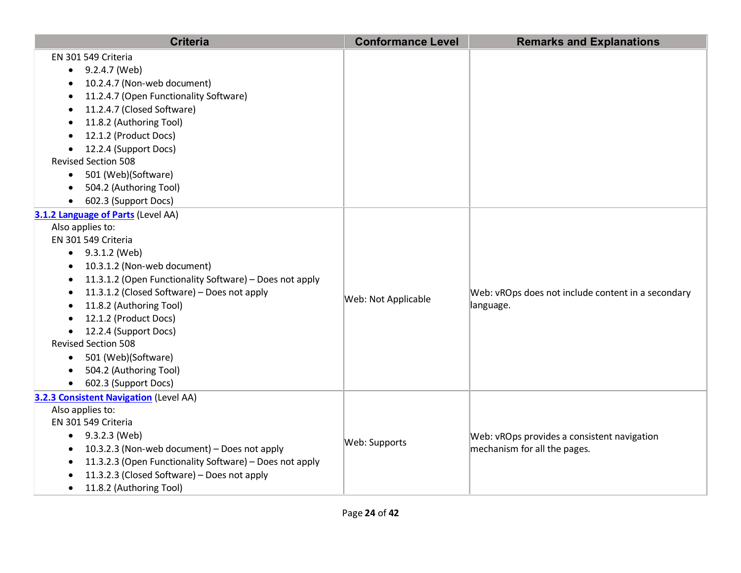| <b>Criteria</b>                                                      | <b>Conformance Level</b> | <b>Remarks and Explanations</b>                    |
|----------------------------------------------------------------------|--------------------------|----------------------------------------------------|
| EN 301 549 Criteria                                                  |                          |                                                    |
| 9.2.4.7 (Web)<br>$\bullet$                                           |                          |                                                    |
| 10.2.4.7 (Non-web document)                                          |                          |                                                    |
| 11.2.4.7 (Open Functionality Software)                               |                          |                                                    |
| 11.2.4.7 (Closed Software)                                           |                          |                                                    |
| 11.8.2 (Authoring Tool)                                              |                          |                                                    |
| 12.1.2 (Product Docs)                                                |                          |                                                    |
| 12.2.4 (Support Docs)                                                |                          |                                                    |
| <b>Revised Section 508</b>                                           |                          |                                                    |
| 501 (Web)(Software)                                                  |                          |                                                    |
| 504.2 (Authoring Tool)                                               |                          |                                                    |
| 602.3 (Support Docs)<br>$\bullet$                                    |                          |                                                    |
| 3.1.2 Language of Parts (Level AA)                                   |                          |                                                    |
| Also applies to:                                                     |                          |                                                    |
| EN 301 549 Criteria                                                  |                          |                                                    |
| $\bullet$ 9.3.1.2 (Web)                                              |                          |                                                    |
| 10.3.1.2 (Non-web document)<br>$\bullet$                             |                          |                                                    |
| 11.3.1.2 (Open Functionality Software) - Does not apply              |                          |                                                    |
| 11.3.1.2 (Closed Software) - Does not apply                          | Web: Not Applicable      | Web: vROps does not include content in a secondary |
| 11.8.2 (Authoring Tool)                                              |                          | language.                                          |
| 12.1.2 (Product Docs)                                                |                          |                                                    |
| 12.2.4 (Support Docs)                                                |                          |                                                    |
| <b>Revised Section 508</b>                                           |                          |                                                    |
| • 501 (Web)(Software)                                                |                          |                                                    |
| 504.2 (Authoring Tool)                                               |                          |                                                    |
| • 602.3 (Support Docs)                                               |                          |                                                    |
| 3.2.3 Consistent Navigation (Level AA)                               |                          |                                                    |
| Also applies to:                                                     |                          |                                                    |
| EN 301 549 Criteria                                                  |                          |                                                    |
| $\bullet$ 9.3.2.3 (Web)                                              | Web: Supports            | Web: vROps provides a consistent navigation        |
| 10.3.2.3 (Non-web document) - Does not apply                         |                          | mechanism for all the pages.                       |
| 11.3.2.3 (Open Functionality Software) - Does not apply<br>$\bullet$ |                          |                                                    |
| 11.3.2.3 (Closed Software) - Does not apply                          |                          |                                                    |
| 11.8.2 (Authoring Tool)                                              |                          |                                                    |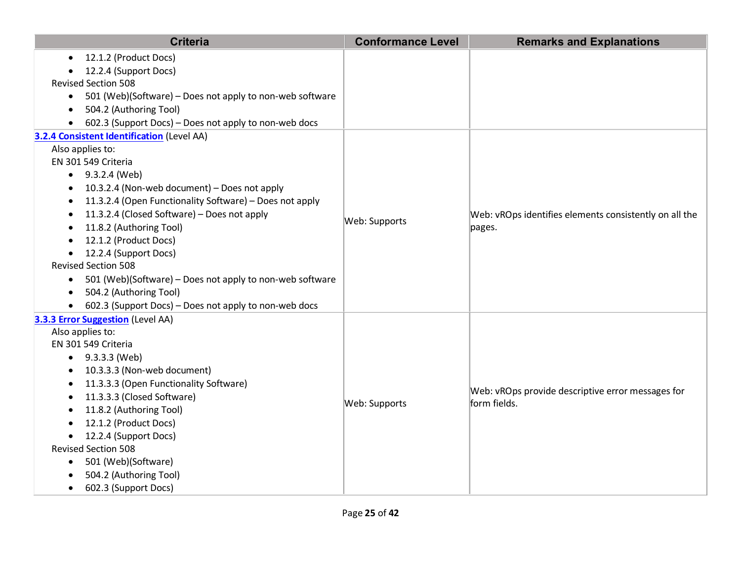| 12.1.2 (Product Docs)<br>$\bullet$<br>12.2.4 (Support Docs)<br><b>Revised Section 508</b><br>501 (Web)(Software) - Does not apply to non-web software<br>$\bullet$<br>504.2 (Authoring Tool)<br>$\bullet$<br>602.3 (Support Docs) - Does not apply to non-web docs<br>3.2.4 Consistent Identification (Level AA)<br>Also applies to:<br>EN 301 549 Criteria<br>• $9.3.2.4$ (Web)<br>10.3.2.4 (Non-web document) - Does not apply<br>$\bullet$<br>11.3.2.4 (Open Functionality Software) - Does not apply<br>11.3.2.4 (Closed Software) - Does not apply<br>Web: vROps identifies elements consistently on all the<br>$\bullet$<br>Web: Supports<br>11.8.2 (Authoring Tool)<br>pages.<br>12.1.2 (Product Docs)<br>12.2.4 (Support Docs)<br>$\bullet$<br><b>Revised Section 508</b><br>501 (Web)(Software) – Does not apply to non-web software<br>$\bullet$<br>504.2 (Authoring Tool)<br>$\bullet$<br>602.3 (Support Docs) - Does not apply to non-web docs<br>$\bullet$ |
|-------------------------------------------------------------------------------------------------------------------------------------------------------------------------------------------------------------------------------------------------------------------------------------------------------------------------------------------------------------------------------------------------------------------------------------------------------------------------------------------------------------------------------------------------------------------------------------------------------------------------------------------------------------------------------------------------------------------------------------------------------------------------------------------------------------------------------------------------------------------------------------------------------------------------------------------------------------------------|
|                                                                                                                                                                                                                                                                                                                                                                                                                                                                                                                                                                                                                                                                                                                                                                                                                                                                                                                                                                         |
|                                                                                                                                                                                                                                                                                                                                                                                                                                                                                                                                                                                                                                                                                                                                                                                                                                                                                                                                                                         |
|                                                                                                                                                                                                                                                                                                                                                                                                                                                                                                                                                                                                                                                                                                                                                                                                                                                                                                                                                                         |
|                                                                                                                                                                                                                                                                                                                                                                                                                                                                                                                                                                                                                                                                                                                                                                                                                                                                                                                                                                         |
|                                                                                                                                                                                                                                                                                                                                                                                                                                                                                                                                                                                                                                                                                                                                                                                                                                                                                                                                                                         |
|                                                                                                                                                                                                                                                                                                                                                                                                                                                                                                                                                                                                                                                                                                                                                                                                                                                                                                                                                                         |
|                                                                                                                                                                                                                                                                                                                                                                                                                                                                                                                                                                                                                                                                                                                                                                                                                                                                                                                                                                         |
|                                                                                                                                                                                                                                                                                                                                                                                                                                                                                                                                                                                                                                                                                                                                                                                                                                                                                                                                                                         |
|                                                                                                                                                                                                                                                                                                                                                                                                                                                                                                                                                                                                                                                                                                                                                                                                                                                                                                                                                                         |
|                                                                                                                                                                                                                                                                                                                                                                                                                                                                                                                                                                                                                                                                                                                                                                                                                                                                                                                                                                         |
|                                                                                                                                                                                                                                                                                                                                                                                                                                                                                                                                                                                                                                                                                                                                                                                                                                                                                                                                                                         |
|                                                                                                                                                                                                                                                                                                                                                                                                                                                                                                                                                                                                                                                                                                                                                                                                                                                                                                                                                                         |
|                                                                                                                                                                                                                                                                                                                                                                                                                                                                                                                                                                                                                                                                                                                                                                                                                                                                                                                                                                         |
|                                                                                                                                                                                                                                                                                                                                                                                                                                                                                                                                                                                                                                                                                                                                                                                                                                                                                                                                                                         |
|                                                                                                                                                                                                                                                                                                                                                                                                                                                                                                                                                                                                                                                                                                                                                                                                                                                                                                                                                                         |
|                                                                                                                                                                                                                                                                                                                                                                                                                                                                                                                                                                                                                                                                                                                                                                                                                                                                                                                                                                         |
|                                                                                                                                                                                                                                                                                                                                                                                                                                                                                                                                                                                                                                                                                                                                                                                                                                                                                                                                                                         |
|                                                                                                                                                                                                                                                                                                                                                                                                                                                                                                                                                                                                                                                                                                                                                                                                                                                                                                                                                                         |
|                                                                                                                                                                                                                                                                                                                                                                                                                                                                                                                                                                                                                                                                                                                                                                                                                                                                                                                                                                         |
| 3.3.3 Error Suggestion (Level AA)                                                                                                                                                                                                                                                                                                                                                                                                                                                                                                                                                                                                                                                                                                                                                                                                                                                                                                                                       |
| Also applies to:                                                                                                                                                                                                                                                                                                                                                                                                                                                                                                                                                                                                                                                                                                                                                                                                                                                                                                                                                        |
| EN 301 549 Criteria                                                                                                                                                                                                                                                                                                                                                                                                                                                                                                                                                                                                                                                                                                                                                                                                                                                                                                                                                     |
| $\bullet$ 9.3.3.3 (Web)                                                                                                                                                                                                                                                                                                                                                                                                                                                                                                                                                                                                                                                                                                                                                                                                                                                                                                                                                 |
| 10.3.3.3 (Non-web document)                                                                                                                                                                                                                                                                                                                                                                                                                                                                                                                                                                                                                                                                                                                                                                                                                                                                                                                                             |
| 11.3.3.3 (Open Functionality Software)<br>Web: vROps provide descriptive error messages for                                                                                                                                                                                                                                                                                                                                                                                                                                                                                                                                                                                                                                                                                                                                                                                                                                                                             |
| 11.3.3.3 (Closed Software)<br>Web: Supports<br>form fields.                                                                                                                                                                                                                                                                                                                                                                                                                                                                                                                                                                                                                                                                                                                                                                                                                                                                                                             |
| 11.8.2 (Authoring Tool)                                                                                                                                                                                                                                                                                                                                                                                                                                                                                                                                                                                                                                                                                                                                                                                                                                                                                                                                                 |
| 12.1.2 (Product Docs)                                                                                                                                                                                                                                                                                                                                                                                                                                                                                                                                                                                                                                                                                                                                                                                                                                                                                                                                                   |
| 12.2.4 (Support Docs)<br>$\bullet$<br><b>Revised Section 508</b>                                                                                                                                                                                                                                                                                                                                                                                                                                                                                                                                                                                                                                                                                                                                                                                                                                                                                                        |
|                                                                                                                                                                                                                                                                                                                                                                                                                                                                                                                                                                                                                                                                                                                                                                                                                                                                                                                                                                         |
| 501 (Web)(Software)<br>٠<br>504.2 (Authoring Tool)                                                                                                                                                                                                                                                                                                                                                                                                                                                                                                                                                                                                                                                                                                                                                                                                                                                                                                                      |
| 602.3 (Support Docs)<br>$\bullet$                                                                                                                                                                                                                                                                                                                                                                                                                                                                                                                                                                                                                                                                                                                                                                                                                                                                                                                                       |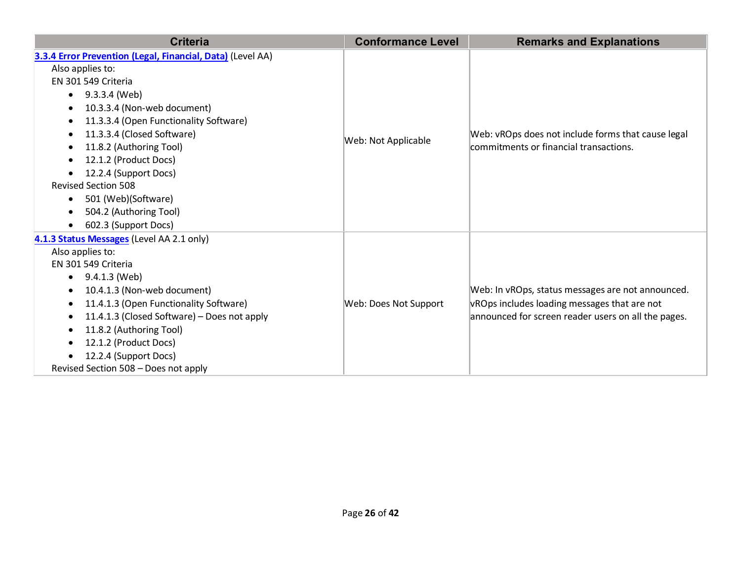| <b>Criteria</b>                                            | <b>Conformance Level</b> | <b>Remarks and Explanations</b>                                                              |
|------------------------------------------------------------|--------------------------|----------------------------------------------------------------------------------------------|
| 3.3.4 Error Prevention (Legal, Financial, Data) (Level AA) |                          |                                                                                              |
| Also applies to:                                           |                          |                                                                                              |
| EN 301 549 Criteria                                        |                          |                                                                                              |
| 9.3.3.4 (Web)<br>$\bullet$                                 |                          |                                                                                              |
| 10.3.3.4 (Non-web document)<br>$\bullet$                   |                          |                                                                                              |
| 11.3.3.4 (Open Functionality Software)<br>$\bullet$        |                          |                                                                                              |
| 11.3.3.4 (Closed Software)                                 | Web: Not Applicable      | Web: vROps does not include forms that cause legal<br>commitments or financial transactions. |
| 11.8.2 (Authoring Tool)<br>$\bullet$                       |                          |                                                                                              |
| 12.1.2 (Product Docs)                                      |                          |                                                                                              |
| 12.2.4 (Support Docs)                                      |                          |                                                                                              |
| <b>Revised Section 508</b>                                 |                          |                                                                                              |
| 501 (Web)(Software)                                        |                          |                                                                                              |
| 504.2 (Authoring Tool)                                     |                          |                                                                                              |
| 602.3 (Support Docs)                                       |                          |                                                                                              |
| 4.1.3 Status Messages (Level AA 2.1 only)                  |                          |                                                                                              |
| Also applies to:                                           |                          |                                                                                              |
| EN 301 549 Criteria                                        |                          |                                                                                              |
| 9.4.1.3 (Web)                                              |                          |                                                                                              |
| 10.4.1.3 (Non-web document)                                |                          | Web: In vROps, status messages are not announced.                                            |
| 11.4.1.3 (Open Functionality Software)<br>$\bullet$        | Web: Does Not Support    | vROps includes loading messages that are not                                                 |
| 11.4.1.3 (Closed Software) - Does not apply                |                          | announced for screen reader users on all the pages.                                          |
| 11.8.2 (Authoring Tool)<br>$\bullet$                       |                          |                                                                                              |
| 12.1.2 (Product Docs)<br>$\bullet$                         |                          |                                                                                              |
| 12.2.4 (Support Docs)                                      |                          |                                                                                              |
| Revised Section 508 - Does not apply                       |                          |                                                                                              |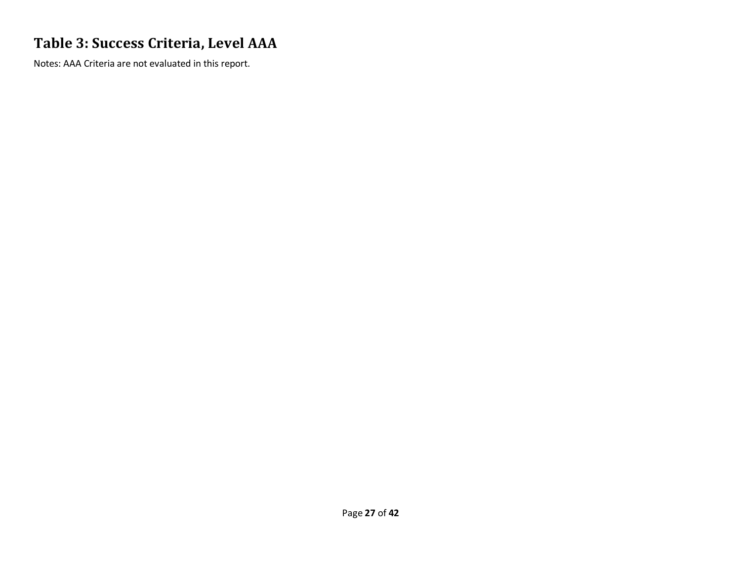### **Table 3: Success Criteria, Level AAA**

Notes: AAA Criteria are not evaluated in this report.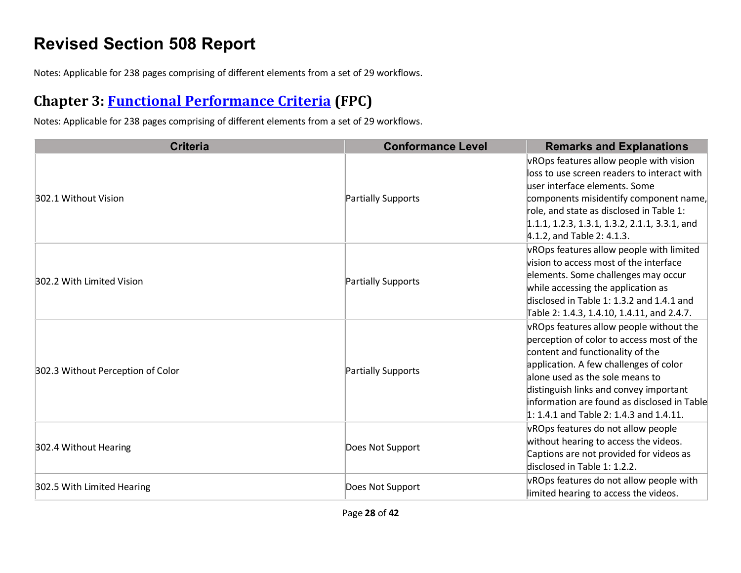## **Revised Section 508 Report**

Notes: Applicable for 238 pages comprising of different elements from a set of 29 workflows.

### **Chapter 3: [Functional Performance Criteria](https://www.access-board.gov/guidelines-and-standards/communications-and-it/about-the-ict-refresh/final-rule/text-of-the-standards-and-guidelines#302-functional-performance-criteria) (FPC)**

| <b>Criteria</b>                   | <b>Conformance Level</b> | <b>Remarks and Explanations</b>                                                                                                                                                                                                                                                                                                             |
|-----------------------------------|--------------------------|---------------------------------------------------------------------------------------------------------------------------------------------------------------------------------------------------------------------------------------------------------------------------------------------------------------------------------------------|
| 302.1 Without Vision              | Partially Supports       | vROps features allow people with vision<br>loss to use screen readers to interact with<br>user interface elements. Some<br>components misidentify component name,<br>role, and state as disclosed in Table 1:<br>$1.1.1, 1.2.3, 1.3.1, 1.3.2, 2.1.1, 3.3.1,$ and<br>$4.1.2$ , and Table 2: 4.1.3.                                           |
| 302.2 With Limited Vision         | Partially Supports       | vROps features allow people with limited<br>vision to access most of the interface<br>elements. Some challenges may occur<br>while accessing the application as<br>disclosed in Table 1: 1.3.2 and 1.4.1 and<br>Table 2: 1.4.3, 1.4.10, 1.4.11, and 2.4.7.                                                                                  |
| 302.3 Without Perception of Color | Partially Supports       | vROps features allow people without the<br>perception of color to access most of the<br>content and functionality of the<br>application. A few challenges of color<br>alone used as the sole means to<br>distinguish links and convey important<br>information are found as disclosed in Table<br>$1: 1.4.1$ and Table 2: 1.4.3 and 1.4.11. |
| 302.4 Without Hearing             | Does Not Support         | vROps features do not allow people<br>without hearing to access the videos.<br>Captions are not provided for videos as<br>disclosed in Table 1: 1.2.2.                                                                                                                                                                                      |
| 302.5 With Limited Hearing        | Does Not Support         | vROps features do not allow people with<br>limited hearing to access the videos.                                                                                                                                                                                                                                                            |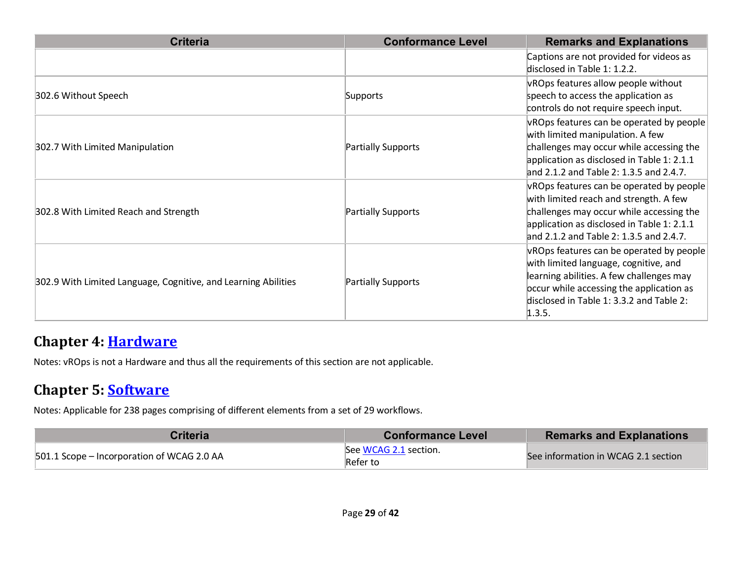| <b>Criteria</b>                                                | <b>Conformance Level</b> | <b>Remarks and Explanations</b>                                                                                                                                                                                                 |
|----------------------------------------------------------------|--------------------------|---------------------------------------------------------------------------------------------------------------------------------------------------------------------------------------------------------------------------------|
|                                                                |                          | Captions are not provided for videos as<br>disclosed in Table 1: 1.2.2.                                                                                                                                                         |
| 302.6 Without Speech                                           | Supports                 | vROps features allow people without<br>speech to access the application as<br>controls do not require speech input.                                                                                                             |
| 302.7 With Limited Manipulation                                | Partially Supports       | vROps features can be operated by people<br>with limited manipulation. A few<br>challenges may occur while accessing the<br>application as disclosed in Table 1: 2.1.1<br>and 2.1.2 and Table 2: 1.3.5 and 2.4.7.               |
| 302.8 With Limited Reach and Strength                          | Partially Supports       | vROps features can be operated by people<br>with limited reach and strength. A few<br>challenges may occur while accessing the<br>application as disclosed in Table 1: 2.1.1<br>and 2.1.2 and Table 2: 1.3.5 and 2.4.7.         |
| 302.9 With Limited Language, Cognitive, and Learning Abilities | Partially Supports       | vROps features can be operated by people<br>with limited language, cognitive, and<br>learning abilities. A few challenges may<br>occur while accessing the application as<br>disclosed in Table 1: 3.3.2 and Table 2:<br>1.3.5. |

#### **Chapter 4: [Hardware](https://www.access-board.gov/guidelines-and-standards/communications-and-it/about-the-ict-refresh/final-rule/text-of-the-standards-and-guidelines#401-general)**

Notes: vROps is not a Hardware and thus all the requirements of this section are not applicable.

#### **Chapter 5: [Software](https://www.access-board.gov/guidelines-and-standards/communications-and-it/about-the-ict-refresh/final-rule/text-of-the-standards-and-guidelines#501-general)**

| Criteria                                   | <b>Conformance Level</b>          | <b>Remarks and Explanations</b>     |
|--------------------------------------------|-----------------------------------|-------------------------------------|
| 501.1 Scope – Incorporation of WCAG 2.0 AA | See WCAG 2.1 section.<br>Refer to | See information in WCAG 2.1 section |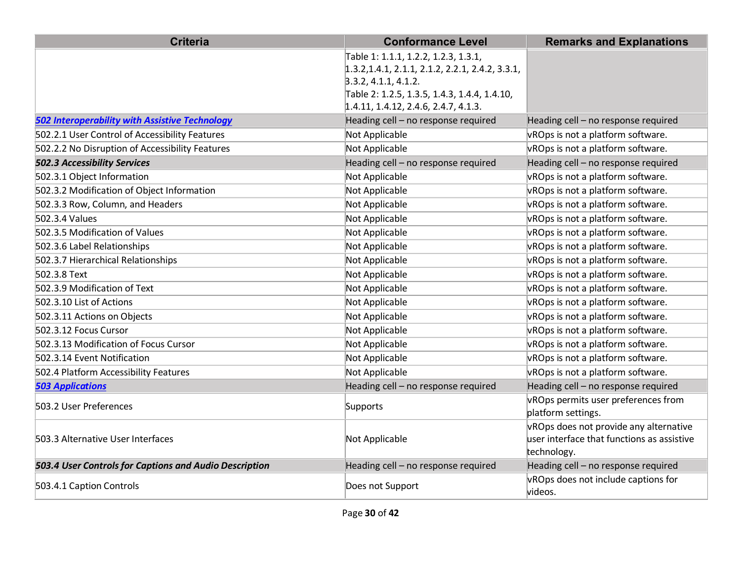| <b>Criteria</b>                                        | <b>Conformance Level</b>                           | <b>Remarks and Explanations</b>                |
|--------------------------------------------------------|----------------------------------------------------|------------------------------------------------|
|                                                        | Table 1: 1.1.1, 1.2.2, 1.2.3, 1.3.1,               |                                                |
|                                                        | $1.3.2, 1.4.1, 2.1.1, 2.1.2, 2.2.1, 2.4.2, 3.3.1,$ |                                                |
|                                                        | 3.3.2, 4.1.1, 4.1.2.                               |                                                |
|                                                        | Table 2: 1.2.5, 1.3.5, 1.4.3, 1.4.4, 1.4.10,       |                                                |
|                                                        | 1.4.11, 1.4.12, 2.4.6, 2.4.7, 4.1.3.               |                                                |
| <b>502 Interoperability with Assistive Technology</b>  | Heading cell - no response required                | Heading cell - no response required            |
| 502.2.1 User Control of Accessibility Features         | Not Applicable                                     | vROps is not a platform software.              |
| 502.2.2 No Disruption of Accessibility Features        | Not Applicable                                     | vROps is not a platform software.              |
| <b>502.3 Accessibility Services</b>                    | Heading cell - no response required                | Heading cell - no response required            |
| 502.3.1 Object Information                             | Not Applicable                                     | vROps is not a platform software.              |
| 502.3.2 Modification of Object Information             | Not Applicable                                     | vROps is not a platform software.              |
| 502.3.3 Row, Column, and Headers                       | Not Applicable                                     | vROps is not a platform software.              |
| 502.3.4 Values                                         | Not Applicable                                     | vROps is not a platform software.              |
| 502.3.5 Modification of Values                         | Not Applicable                                     | vROps is not a platform software.              |
| 502.3.6 Label Relationships                            | Not Applicable                                     | vROps is not a platform software.              |
| 502.3.7 Hierarchical Relationships                     | Not Applicable                                     | vROps is not a platform software.              |
| 502.3.8 Text                                           | Not Applicable                                     | vROps is not a platform software.              |
| 502.3.9 Modification of Text                           | Not Applicable                                     | vROps is not a platform software.              |
| 502.3.10 List of Actions                               | Not Applicable                                     | vROps is not a platform software.              |
| 502.3.11 Actions on Objects                            | Not Applicable                                     | vROps is not a platform software.              |
| 502.3.12 Focus Cursor                                  | Not Applicable                                     | vROps is not a platform software.              |
| 502.3.13 Modification of Focus Cursor                  | Not Applicable                                     | vROps is not a platform software.              |
| 502.3.14 Event Notification                            | Not Applicable                                     | vROps is not a platform software.              |
| 502.4 Platform Accessibility Features                  | Not Applicable                                     | vROps is not a platform software.              |
| <b>503 Applications</b>                                | Heading cell - no response required                | Heading cell - no response required            |
| 503.2 User Preferences                                 | Supports                                           | vROps permits user preferences from            |
|                                                        |                                                    | platform settings.                             |
|                                                        |                                                    | vROps does not provide any alternative         |
| 503.3 Alternative User Interfaces                      | Not Applicable                                     | user interface that functions as assistive     |
|                                                        |                                                    | technology.                                    |
| 503.4 User Controls for Captions and Audio Description | Heading cell - no response required                | Heading cell - no response required            |
| 503.4.1 Caption Controls                               | Does not Support                                   | vROps does not include captions for<br>videos. |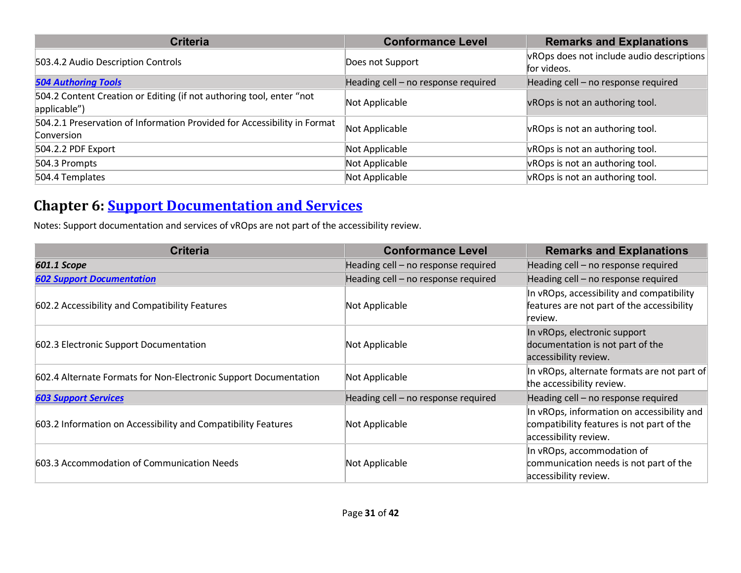| <b>Criteria</b>                                                                        | <b>Conformance Level</b>            | <b>Remarks and Explanations</b>                          |
|----------------------------------------------------------------------------------------|-------------------------------------|----------------------------------------------------------|
| 503.4.2 Audio Description Controls                                                     | Does not Support                    | VROps does not include audio descriptions<br>for videos. |
| <b>504 Authoring Tools</b>                                                             | Heading cell - no response required | Heading cell - no response required                      |
| 504.2 Content Creation or Editing (if not authoring tool, enter "not<br>applicable")   | Not Applicable                      | vROps is not an authoring tool.                          |
| 504.2.1 Preservation of Information Provided for Accessibility in Format<br>Conversion | Not Applicable                      | vROps is not an authoring tool.                          |
| 504.2.2 PDF Export                                                                     | Not Applicable                      | vROps is not an authoring tool.                          |
| 504.3 Prompts                                                                          | Not Applicable                      | vROps is not an authoring tool.                          |
| 504.4 Templates                                                                        | Not Applicable                      | vROps is not an authoring tool.                          |

#### **Chapter 6: [Support Documentation and Services](https://www.access-board.gov/guidelines-and-standards/communications-and-it/about-the-ict-refresh/final-rule/text-of-the-standards-and-guidelines#601-general)**

Notes: Support documentation and services of vROps are not part of the accessibility review.

| <b>Criteria</b>                                                  | <b>Conformance Level</b>            | <b>Remarks and Explanations</b>                                                                                  |
|------------------------------------------------------------------|-------------------------------------|------------------------------------------------------------------------------------------------------------------|
| 601.1 Scope                                                      | Heading cell - no response required | Heading cell - no response required                                                                              |
| <b>602 Support Documentation</b>                                 | Heading cell - no response required | Heading cell - no response required                                                                              |
| 602.2 Accessibility and Compatibility Features                   | Not Applicable                      | In vROps, accessibility and compatibility<br>features are not part of the accessibility<br>review.               |
| 602.3 Electronic Support Documentation                           | Not Applicable                      | In vROps, electronic support<br>documentation is not part of the<br>accessibility review.                        |
| 602.4 Alternate Formats for Non-Electronic Support Documentation | Not Applicable                      | In vROps, alternate formats are not part of<br>the accessibility review.                                         |
| <b>603 Support Services</b>                                      | Heading cell - no response required | Heading cell - no response required                                                                              |
| 603.2 Information on Accessibility and Compatibility Features    | Not Applicable                      | In vROps, information on accessibility and<br>compatibility features is not part of the<br>accessibility review. |
| 603.3 Accommodation of Communication Needs                       | Not Applicable                      | In vROps, accommodation of<br>communication needs is not part of the<br>accessibility review.                    |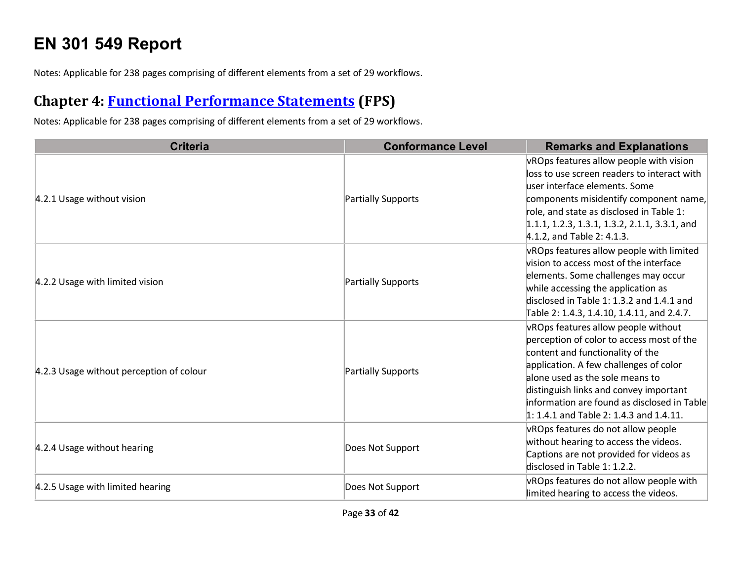# **EN 301 549 Report**

Notes: Applicable for 238 pages comprising of different elements from a set of 29 workflows.

### **Chapter 4: [Functional Performance Statements](https://www.etsi.org/deliver/etsi_en/301500_301599/301549/03.01.01_60/en_301549v030101p.pdf#%5B%7B%22num%22%3A38%2C%22gen%22%3A0%7D%2C%7B%22name%22%3A%22XYZ%22%7D%2C54%2C747%2C0%5D) (FPS)**

| <b>Criteria</b>                          | <b>Conformance Level</b> | <b>Remarks and Explanations</b>                                                                                                                                                                                                                                                                                                         |
|------------------------------------------|--------------------------|-----------------------------------------------------------------------------------------------------------------------------------------------------------------------------------------------------------------------------------------------------------------------------------------------------------------------------------------|
| 4.2.1 Usage without vision               | Partially Supports       | vROps features allow people with vision<br>loss to use screen readers to interact with<br>user interface elements. Some<br>components misidentify component name,<br>role, and state as disclosed in Table 1:<br>$1.1.1, 1.2.3, 1.3.1, 1.3.2, 2.1.1, 3.3.1,$ and<br>4.1.2, and Table 2: 4.1.3.                                          |
| 4.2.2 Usage with limited vision          | Partially Supports       | vROps features allow people with limited<br>vision to access most of the interface<br>elements. Some challenges may occur<br>while accessing the application as<br>disclosed in Table 1: 1.3.2 and 1.4.1 and<br>Table 2: 1.4.3, 1.4.10, 1.4.11, and 2.4.7.                                                                              |
| 4.2.3 Usage without perception of colour | Partially Supports       | vROps features allow people without<br>perception of color to access most of the<br>content and functionality of the<br>application. A few challenges of color<br>alone used as the sole means to<br>distinguish links and convey important<br>information are found as disclosed in Table<br>$1: 1.4.1$ and Table 2: 1.4.3 and 1.4.11. |
| 4.2.4 Usage without hearing              | Does Not Support         | vROps features do not allow people<br>without hearing to access the videos.<br>Captions are not provided for videos as<br>disclosed in Table 1: 1.2.2.                                                                                                                                                                                  |
| 4.2.5 Usage with limited hearing         | Does Not Support         | vROps features do not allow people with<br>limited hearing to access the videos.                                                                                                                                                                                                                                                        |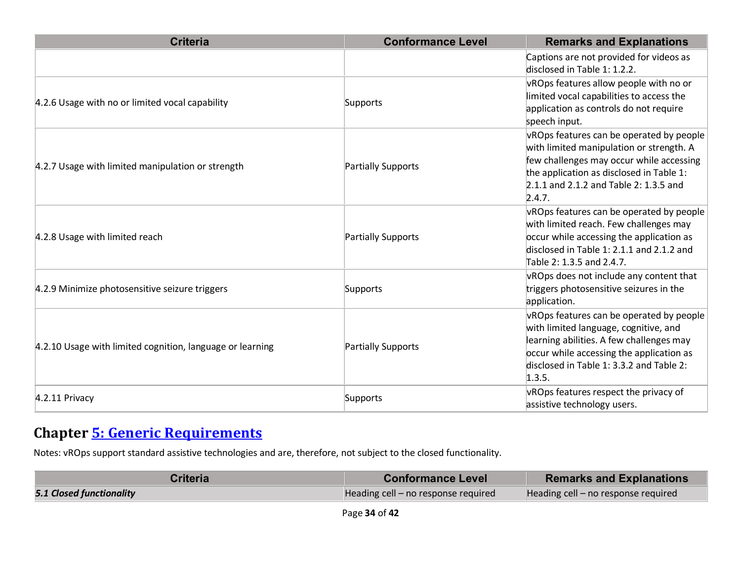| <b>Criteria</b>                                           | <b>Conformance Level</b> | <b>Remarks and Explanations</b>                                                                                                                                                                                                  |
|-----------------------------------------------------------|--------------------------|----------------------------------------------------------------------------------------------------------------------------------------------------------------------------------------------------------------------------------|
|                                                           |                          | Captions are not provided for videos as<br>disclosed in Table 1: 1.2.2.                                                                                                                                                          |
| 4.2.6 Usage with no or limited vocal capability           | Supports                 | vROps features allow people with no or<br>limited vocal capabilities to access the<br>application as controls do not require<br>speech input.                                                                                    |
| 4.2.7 Usage with limited manipulation or strength         | Partially Supports       | vROps features can be operated by people<br>with limited manipulation or strength. A<br>few challenges may occur while accessing<br>the application as disclosed in Table 1:<br>2.1.1 and 2.1.2 and Table 2: 1.3.5 and<br>2.4.7. |
| 4.2.8 Usage with limited reach                            | Partially Supports       | vROps features can be operated by people<br>with limited reach. Few challenges may<br>occur while accessing the application as<br>disclosed in Table 1: 2.1.1 and 2.1.2 and<br>Table 2: 1.3.5 and 2.4.7.                         |
| 4.2.9 Minimize photosensitive seizure triggers            | Supports                 | vROps does not include any content that<br>triggers photosensitive seizures in the<br>application.                                                                                                                               |
| 4.2.10 Usage with limited cognition, language or learning | Partially Supports       | vROps features can be operated by people<br>with limited language, cognitive, and<br>learning abilities. A few challenges may<br>occur while accessing the application as<br>disclosed in Table 1: 3.3.2 and Table 2:<br>1.3.5.  |
| 4.2.11 Privacy                                            | Supports                 | vROps features respect the privacy of<br>assistive technology users.                                                                                                                                                             |

### **Chapter [5: Generic Requirements](https://www.etsi.org/deliver/etsi_en/301500_301599/301549/03.01.01_60/en_301549v030101p.pdf#%5B%7B%22num%22%3A45%2C%22gen%22%3A0%7D%2C%7B%22name%22%3A%22XYZ%22%7D%2C54%2C747%2C0%5D)**

Notes: vROps support standard assistive technologies and are, therefore, not subject to the closed functionality.

| <b>Criteria</b>                 | <b>Conformance Level</b>            | <b>Remarks and Explanations</b>     |
|---------------------------------|-------------------------------------|-------------------------------------|
| <b>5.1 Closed functionality</b> | Heading cell - no response required | Heading cell - no response required |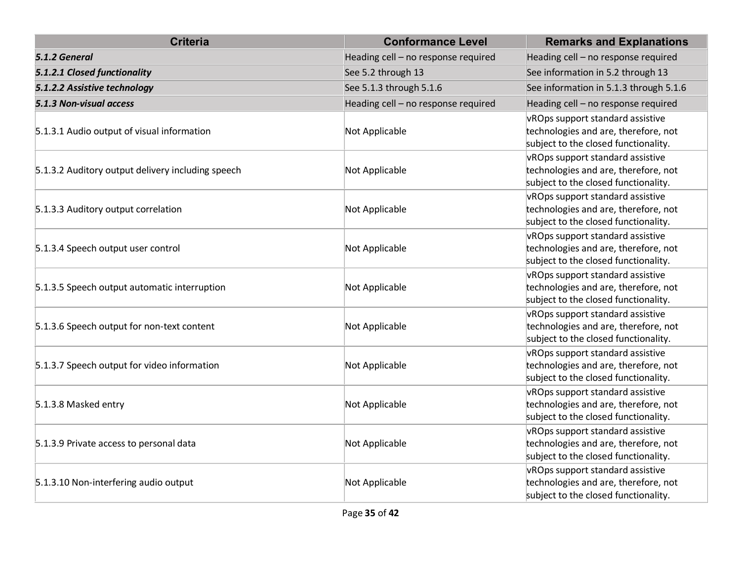| <b>Criteria</b>                                   | <b>Conformance Level</b>            | <b>Remarks and Explanations</b>                                                                                  |
|---------------------------------------------------|-------------------------------------|------------------------------------------------------------------------------------------------------------------|
| 5.1.2 General                                     | Heading cell - no response required | Heading cell - no response required                                                                              |
| 5.1.2.1 Closed functionality                      | See 5.2 through 13                  | See information in 5.2 through 13                                                                                |
| 5.1.2.2 Assistive technology                      | See 5.1.3 through 5.1.6             | See information in 5.1.3 through 5.1.6                                                                           |
| 5.1.3 Non-visual access                           | Heading cell - no response required | Heading cell - no response required                                                                              |
| 5.1.3.1 Audio output of visual information        | Not Applicable                      | vROps support standard assistive<br>technologies and are, therefore, not<br>subject to the closed functionality. |
| 5.1.3.2 Auditory output delivery including speech | Not Applicable                      | vROps support standard assistive<br>technologies and are, therefore, not<br>subject to the closed functionality. |
| 5.1.3.3 Auditory output correlation               | Not Applicable                      | vROps support standard assistive<br>technologies and are, therefore, not<br>subject to the closed functionality. |
| 5.1.3.4 Speech output user control                | Not Applicable                      | vROps support standard assistive<br>technologies and are, therefore, not<br>subject to the closed functionality. |
| 5.1.3.5 Speech output automatic interruption      | Not Applicable                      | vROps support standard assistive<br>technologies and are, therefore, not<br>subject to the closed functionality. |
| 5.1.3.6 Speech output for non-text content        | Not Applicable                      | vROps support standard assistive<br>technologies and are, therefore, not<br>subject to the closed functionality. |
| 5.1.3.7 Speech output for video information       | Not Applicable                      | vROps support standard assistive<br>technologies and are, therefore, not<br>subject to the closed functionality. |
| 5.1.3.8 Masked entry                              | Not Applicable                      | vROps support standard assistive<br>technologies and are, therefore, not<br>subject to the closed functionality. |
| 5.1.3.9 Private access to personal data           | Not Applicable                      | vROps support standard assistive<br>technologies and are, therefore, not<br>subject to the closed functionality. |
| 5.1.3.10 Non-interfering audio output             | Not Applicable                      | vROps support standard assistive<br>technologies and are, therefore, not<br>subject to the closed functionality. |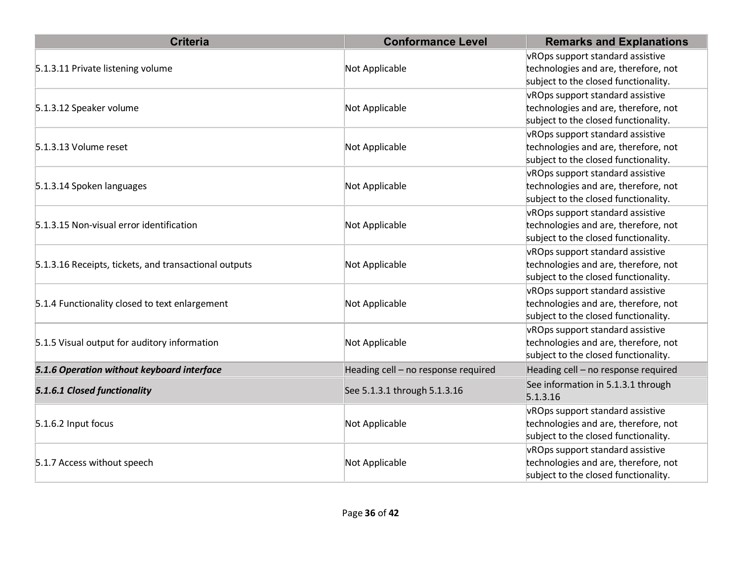| <b>Criteria</b>                                       | <b>Conformance Level</b>            | <b>Remarks and Explanations</b>      |
|-------------------------------------------------------|-------------------------------------|--------------------------------------|
|                                                       |                                     | vROps support standard assistive     |
| 5.1.3.11 Private listening volume                     | Not Applicable                      | technologies and are, therefore, not |
|                                                       |                                     | subject to the closed functionality. |
|                                                       |                                     | vROps support standard assistive     |
| 5.1.3.12 Speaker volume                               | Not Applicable                      | technologies and are, therefore, not |
|                                                       |                                     | subject to the closed functionality. |
|                                                       |                                     | vROps support standard assistive     |
| 5.1.3.13 Volume reset                                 | Not Applicable                      | technologies and are, therefore, not |
|                                                       |                                     | subject to the closed functionality. |
|                                                       |                                     | vROps support standard assistive     |
| 5.1.3.14 Spoken languages                             | Not Applicable                      | technologies and are, therefore, not |
|                                                       |                                     | subject to the closed functionality. |
|                                                       |                                     | vROps support standard assistive     |
| 5.1.3.15 Non-visual error identification              | Not Applicable                      | technologies and are, therefore, not |
|                                                       |                                     | subject to the closed functionality. |
|                                                       |                                     | vROps support standard assistive     |
| 5.1.3.16 Receipts, tickets, and transactional outputs | Not Applicable                      | technologies and are, therefore, not |
|                                                       |                                     | subject to the closed functionality. |
|                                                       |                                     | vROps support standard assistive     |
| 5.1.4 Functionality closed to text enlargement        | Not Applicable                      | technologies and are, therefore, not |
|                                                       |                                     | subject to the closed functionality. |
|                                                       |                                     | vROps support standard assistive     |
| 5.1.5 Visual output for auditory information          | Not Applicable                      | technologies and are, therefore, not |
|                                                       |                                     | subject to the closed functionality. |
| 5.1.6 Operation without keyboard interface            | Heading cell - no response required | Heading cell - no response required  |
|                                                       |                                     | See information in 5.1.3.1 through   |
| 5.1.6.1 Closed functionality                          | See 5.1.3.1 through 5.1.3.16        | 5.1.3.16                             |
|                                                       |                                     | vROps support standard assistive     |
| 5.1.6.2 Input focus                                   | Not Applicable                      | technologies and are, therefore, not |
|                                                       |                                     | subject to the closed functionality. |
|                                                       |                                     | vROps support standard assistive     |
| 5.1.7 Access without speech                           | Not Applicable                      | technologies and are, therefore, not |
|                                                       |                                     | subject to the closed functionality. |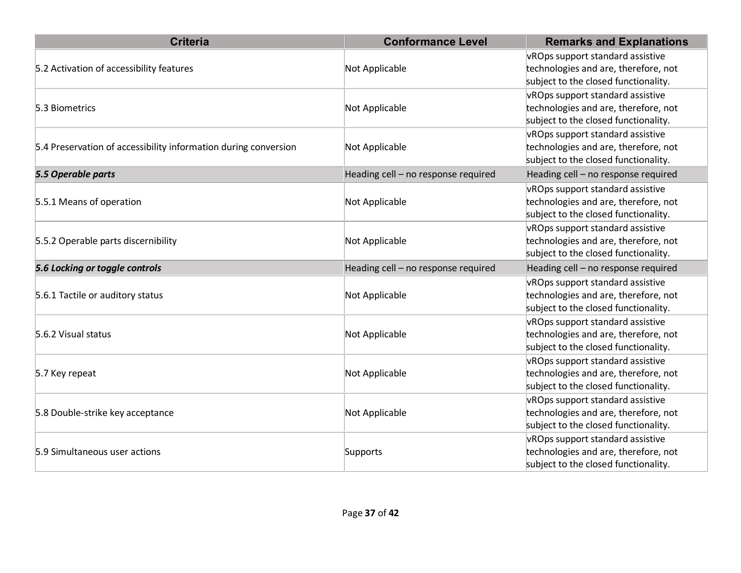| <b>Criteria</b>                                                 | <b>Conformance Level</b>            | <b>Remarks and Explanations</b>                                                                                  |
|-----------------------------------------------------------------|-------------------------------------|------------------------------------------------------------------------------------------------------------------|
| 5.2 Activation of accessibility features                        | Not Applicable                      | vROps support standard assistive<br>technologies and are, therefore, not<br>subject to the closed functionality. |
| 5.3 Biometrics                                                  | Not Applicable                      | vROps support standard assistive<br>technologies and are, therefore, not<br>subject to the closed functionality. |
| 5.4 Preservation of accessibility information during conversion | Not Applicable                      | vROps support standard assistive<br>technologies and are, therefore, not<br>subject to the closed functionality. |
| 5.5 Operable parts                                              | Heading cell - no response required | Heading cell - no response required                                                                              |
| 5.5.1 Means of operation                                        | Not Applicable                      | vROps support standard assistive<br>technologies and are, therefore, not<br>subject to the closed functionality. |
| 5.5.2 Operable parts discernibility                             | Not Applicable                      | vROps support standard assistive<br>technologies and are, therefore, not<br>subject to the closed functionality. |
| 5.6 Locking or toggle controls                                  | Heading cell - no response required | Heading cell - no response required                                                                              |
| 5.6.1 Tactile or auditory status                                | Not Applicable                      | vROps support standard assistive<br>technologies and are, therefore, not<br>subject to the closed functionality. |
| 5.6.2 Visual status                                             | Not Applicable                      | vROps support standard assistive<br>technologies and are, therefore, not<br>subject to the closed functionality. |
| 5.7 Key repeat                                                  | Not Applicable                      | vROps support standard assistive<br>technologies and are, therefore, not<br>subject to the closed functionality. |
| 5.8 Double-strike key acceptance                                | Not Applicable                      | vROps support standard assistive<br>technologies and are, therefore, not<br>subject to the closed functionality. |
| 5.9 Simultaneous user actions                                   | Supports                            | vROps support standard assistive<br>technologies and are, therefore, not<br>subject to the closed functionality. |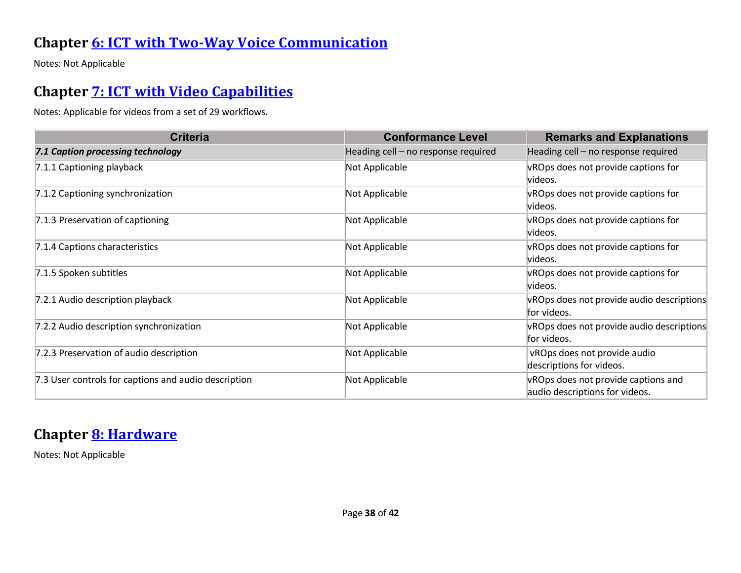#### **Chapter [6: ICT with Two-Way Voice Communication](https://www.etsi.org/deliver/etsi_en/301500_301599/301549/03.01.01_60/en_301549v030101p.pdf#%5B%7B%22num%22%3A60%2C%22gen%22%3A0%7D%2C%7B%22name%22%3A%22XYZ%22%7D%2C54%2C747%2C0%5D)**

Notes: Not Applicable

#### **Chapter [7: ICT with Video Capabilities](https://www.etsi.org/deliver/etsi_en/301500_301599/301549/03.01.01_60/en_301549v030101p.pdf#%5B%7B%22num%22%3A70%2C%22gen%22%3A0%7D%2C%7B%22name%22%3A%22XYZ%22%7D%2C54%2C747%2C0%5D)**

Notes: Applicable for videos from a set of 29 workflows.

| <b>Criteria</b>                                      | <b>Conformance Level</b>            | <b>Remarks and Explanations</b>           |
|------------------------------------------------------|-------------------------------------|-------------------------------------------|
| 7.1 Caption processing technology                    | Heading cell - no response required | Heading cell - no response required       |
| 7.1.1 Captioning playback                            | Not Applicable                      | vROps does not provide captions for       |
|                                                      |                                     | lvideos.                                  |
| 7.1.2 Captioning synchronization                     | Not Applicable                      | vROps does not provide captions for       |
|                                                      |                                     | lvideos.                                  |
| 7.1.3 Preservation of captioning                     | Not Applicable                      | vROps does not provide captions for       |
|                                                      |                                     | videos.                                   |
| 7.1.4 Captions characteristics                       | Not Applicable                      | vROps does not provide captions for       |
|                                                      |                                     | videos.                                   |
| 7.1.5 Spoken subtitles                               | Not Applicable                      | vROps does not provide captions for       |
|                                                      |                                     | videos.                                   |
| 7.2.1 Audio description playback                     | Not Applicable                      | vROps does not provide audio descriptions |
|                                                      |                                     | for videos.                               |
| 7.2.2 Audio description synchronization              | Not Applicable                      | vROps does not provide audio descriptions |
|                                                      |                                     | for videos.                               |
| 7.2.3 Preservation of audio description              | Not Applicable                      | vROps does not provide audio              |
|                                                      |                                     | descriptions for videos.                  |
| 7.3 User controls for captions and audio description | Not Applicable                      | vROps does not provide captions and       |
|                                                      |                                     | audio descriptions for videos.            |

#### **Chapter [8: Hardware](https://www.etsi.org/deliver/etsi_en/301500_301599/301549/03.01.01_60/en_301549v030101p.pdf#%5B%7B%22num%22%3A74%2C%22gen%22%3A0%7D%2C%7B%22name%22%3A%22XYZ%22%7D%2C54%2C747%2C0%5D)**

Notes: Not Applicable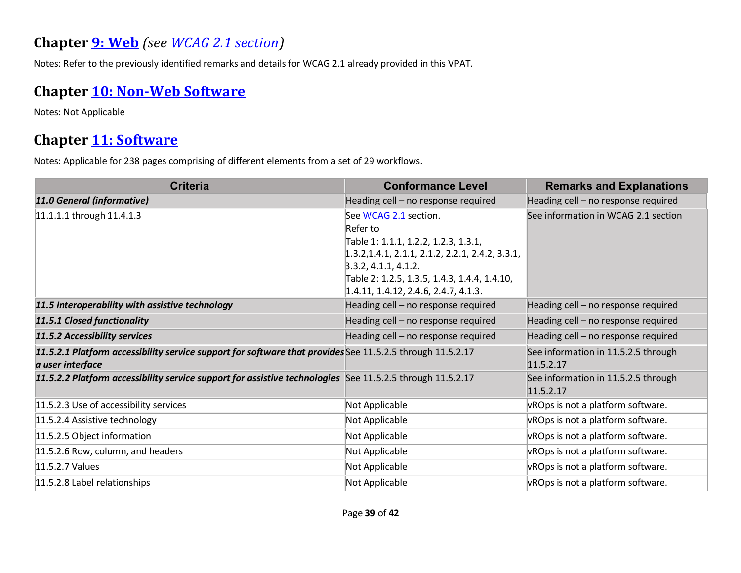#### **Chapter [9: Web](https://www.etsi.org/deliver/etsi_en/301500_301599/301549/03.01.01_60/en_301549v030101p.pdf#%5B%7B%22num%22%3A113%2C%22gen%22%3A0%7D%2C%7B%22name%22%3A%22XYZ%22%7D%2C54%2C747%2C0%5D)** *(see [WCAG 2.1](#page-3-0) section)*

Notes: Refer to the previously identified remarks and details for WCAG 2.1 already provided in this VPAT.

#### **Chapter [10: Non-Web Software](https://www.etsi.org/deliver/etsi_en/301500_301599/301549/03.01.01_60/en_301549v030101p.pdf#%5B%7B%22num%22%3A127%2C%22gen%22%3A0%7D%2C%7B%22name%22%3A%22XYZ%22%7D%2C54%2C747%2C0%5D)**

Notes: Not Applicable

#### **Chapter [11: Software](https://www.etsi.org/deliver/etsi_en/301500_301599/301549/03.01.01_60/en_301549v030101p.pdf#%5B%7B%22num%22%3A149%2C%22gen%22%3A0%7D%2C%7B%22name%22%3A%22XYZ%22%7D%2C54%2C747%2C0%5D)**

| <b>Criteria</b>                                                                                                               | <b>Conformance Level</b>                                                                                                        | <b>Remarks and Explanations</b>                  |
|-------------------------------------------------------------------------------------------------------------------------------|---------------------------------------------------------------------------------------------------------------------------------|--------------------------------------------------|
| 11.0 General (informative)                                                                                                    | Heading cell - no response required                                                                                             | Heading cell - no response required              |
| 11.1.1.1 through 11.4.1.3                                                                                                     | See WCAG 2.1 section.<br>Refer to<br>Table 1: 1.1.1, 1.2.2, 1.2.3, 1.3.1,<br>$1.3.2, 1.4.1, 2.1.1, 2.1.2, 2.2.1, 2.4.2, 3.3.1,$ | See information in WCAG 2.1 section              |
|                                                                                                                               | 3.3.2, 4.1.1, 4.1.2.<br>Table 2: 1.2.5, 1.3.5, 1.4.3, 1.4.4, 1.4.10,<br>1.4.11, 1.4.12, 2.4.6, 2.4.7, 4.1.3.                    |                                                  |
| 11.5 Interoperability with assistive technology                                                                               | Heading cell - no response required                                                                                             | Heading cell - no response required              |
| 11.5.1 Closed functionality                                                                                                   | Heading cell - no response required                                                                                             | Heading cell - no response required              |
| 11.5.2 Accessibility services                                                                                                 | Heading cell - no response required                                                                                             | Heading cell - no response required              |
| 11.5.2.1 Platform accessibility service support for software that provides See 11.5.2.5 through 11.5.2.17<br>a user interface |                                                                                                                                 | See information in 11.5.2.5 through<br>11.5.2.17 |
| 11.5.2.2 Platform accessibility service support for assistive technologies See 11.5.2.5 through 11.5.2.17                     |                                                                                                                                 | See information in 11.5.2.5 through<br>11.5.2.17 |
| 11.5.2.3 Use of accessibility services                                                                                        | Not Applicable                                                                                                                  | vROps is not a platform software.                |
| 11.5.2.4 Assistive technology                                                                                                 | Not Applicable                                                                                                                  | vROps is not a platform software.                |
| 11.5.2.5 Object information                                                                                                   | Not Applicable                                                                                                                  | vROps is not a platform software.                |
| 11.5.2.6 Row, column, and headers                                                                                             | Not Applicable                                                                                                                  | vROps is not a platform software.                |
| 11.5.2.7 Values                                                                                                               | Not Applicable                                                                                                                  | vROps is not a platform software.                |
| 11.5.2.8 Label relationships                                                                                                  | Not Applicable                                                                                                                  | vROps is not a platform software.                |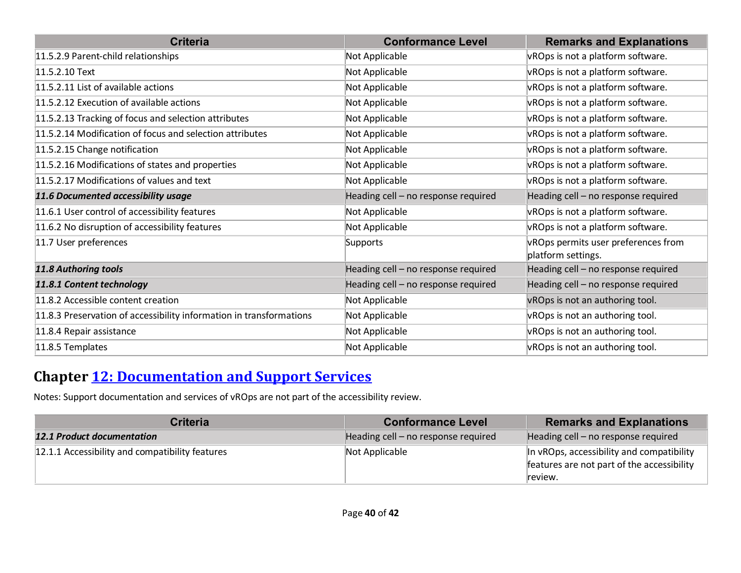| <b>Criteria</b>                                                     | <b>Conformance Level</b>            | <b>Remarks and Explanations</b>                           |
|---------------------------------------------------------------------|-------------------------------------|-----------------------------------------------------------|
| 11.5.2.9 Parent-child relationships                                 | Not Applicable                      | vROps is not a platform software.                         |
| 11.5.2.10 Text                                                      | Not Applicable                      | vROps is not a platform software.                         |
| 11.5.2.11 List of available actions                                 | Not Applicable                      | vROps is not a platform software.                         |
| 11.5.2.12 Execution of available actions                            | Not Applicable                      | vROps is not a platform software.                         |
| 11.5.2.13 Tracking of focus and selection attributes                | Not Applicable                      | vROps is not a platform software.                         |
| 11.5.2.14 Modification of focus and selection attributes            | Not Applicable                      | vROps is not a platform software.                         |
| 11.5.2.15 Change notification                                       | Not Applicable                      | vROps is not a platform software.                         |
| 11.5.2.16 Modifications of states and properties                    | Not Applicable                      | vROps is not a platform software.                         |
| 11.5.2.17 Modifications of values and text                          | Not Applicable                      | vROps is not a platform software.                         |
| 11.6 Documented accessibility usage                                 | Heading cell - no response required | Heading cell - no response required                       |
| 11.6.1 User control of accessibility features                       | Not Applicable                      | vROps is not a platform software.                         |
| 11.6.2 No disruption of accessibility features                      | Not Applicable                      | vROps is not a platform software.                         |
| 11.7 User preferences                                               | Supports                            | vROps permits user preferences from<br>platform settings. |
| 11.8 Authoring tools                                                | Heading cell - no response required | Heading cell - no response required                       |
| 11.8.1 Content technology                                           | Heading cell - no response required | Heading cell - no response required                       |
| 11.8.2 Accessible content creation                                  | Not Applicable                      | vROps is not an authoring tool.                           |
| 11.8.3 Preservation of accessibility information in transformations | Not Applicable                      | vROps is not an authoring tool.                           |
| 11.8.4 Repair assistance                                            | Not Applicable                      | vROps is not an authoring tool.                           |
| 11.8.5 Templates                                                    | Not Applicable                      | vROps is not an authoring tool.                           |

#### **Chapter [12: Documentation and Support Services](https://www.etsi.org/deliver/etsi_en/301500_301599/301549/03.01.01_60/en_301549v030101p.pdf#%5B%7B%22num%22%3A187%2C%22gen%22%3A0%7D%2C%7B%22name%22%3A%22XYZ%22%7D%2C54%2C747%2C0%5D)**

Notes: Support documentation and services of vROps are not part of the accessibility review.

| <b>Criteria</b>                                 | <b>Conformance Level</b>            | <b>Remarks and Explanations</b>                                                                    |
|-------------------------------------------------|-------------------------------------|----------------------------------------------------------------------------------------------------|
| <b>12.1 Product documentation</b>               | Heading cell – no response required | Heading cell – no response required                                                                |
| 12.1.1 Accessibility and compatibility features | Not Applicable                      | In vROps, accessibility and compatibility<br>features are not part of the accessibility<br>review. |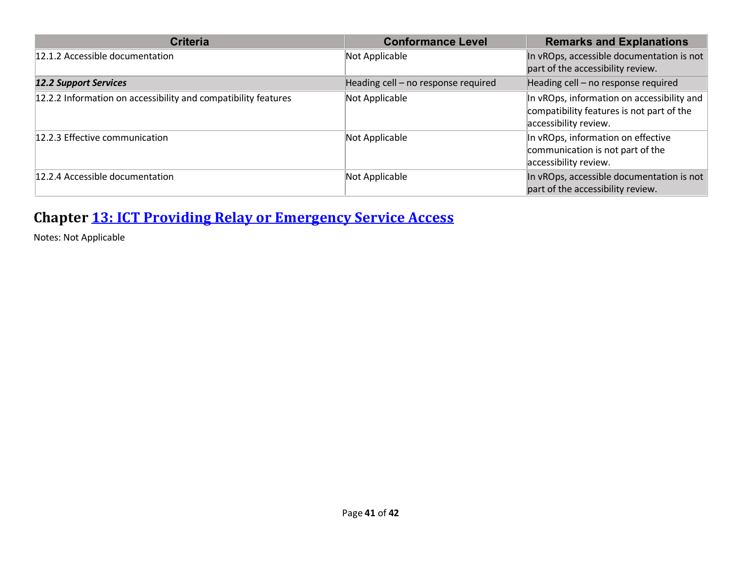| <b>Criteria</b>                                                | <b>Conformance Level</b>            | <b>Remarks and Explanations</b>                                                                                  |
|----------------------------------------------------------------|-------------------------------------|------------------------------------------------------------------------------------------------------------------|
| 12.1.2 Accessible documentation                                | Not Applicable                      | In vROps, accessible documentation is not<br>part of the accessibility review.                                   |
| <b>12.2 Support Services</b>                                   | Heading cell - no response required | Heading cell - no response required                                                                              |
| 12.2.2 Information on accessibility and compatibility features | Not Applicable                      | In vROps, information on accessibility and<br>compatibility features is not part of the<br>accessibility review. |
| 12.2.3 Effective communication                                 | Not Applicable                      | In vROps, information on effective<br>communication is not part of the<br>accessibility review.                  |
| 12.2.4 Accessible documentation                                | Not Applicable                      | In vROps, accessible documentation is not<br>part of the accessibility review.                                   |

# **Chapter [13: ICT Providing Relay or Emergency Service Access](https://www.etsi.org/deliver/etsi_en/301500_301599/301549/03.01.01_60/en_301549v030101p.pdf#%5B%7B%22num%22%3A191%2C%22gen%22%3A0%7D%2C%7B%22name%22%3A%22XYZ%22%7D%2C54%2C747%2C0%5D)**

Notes: Not Applicable